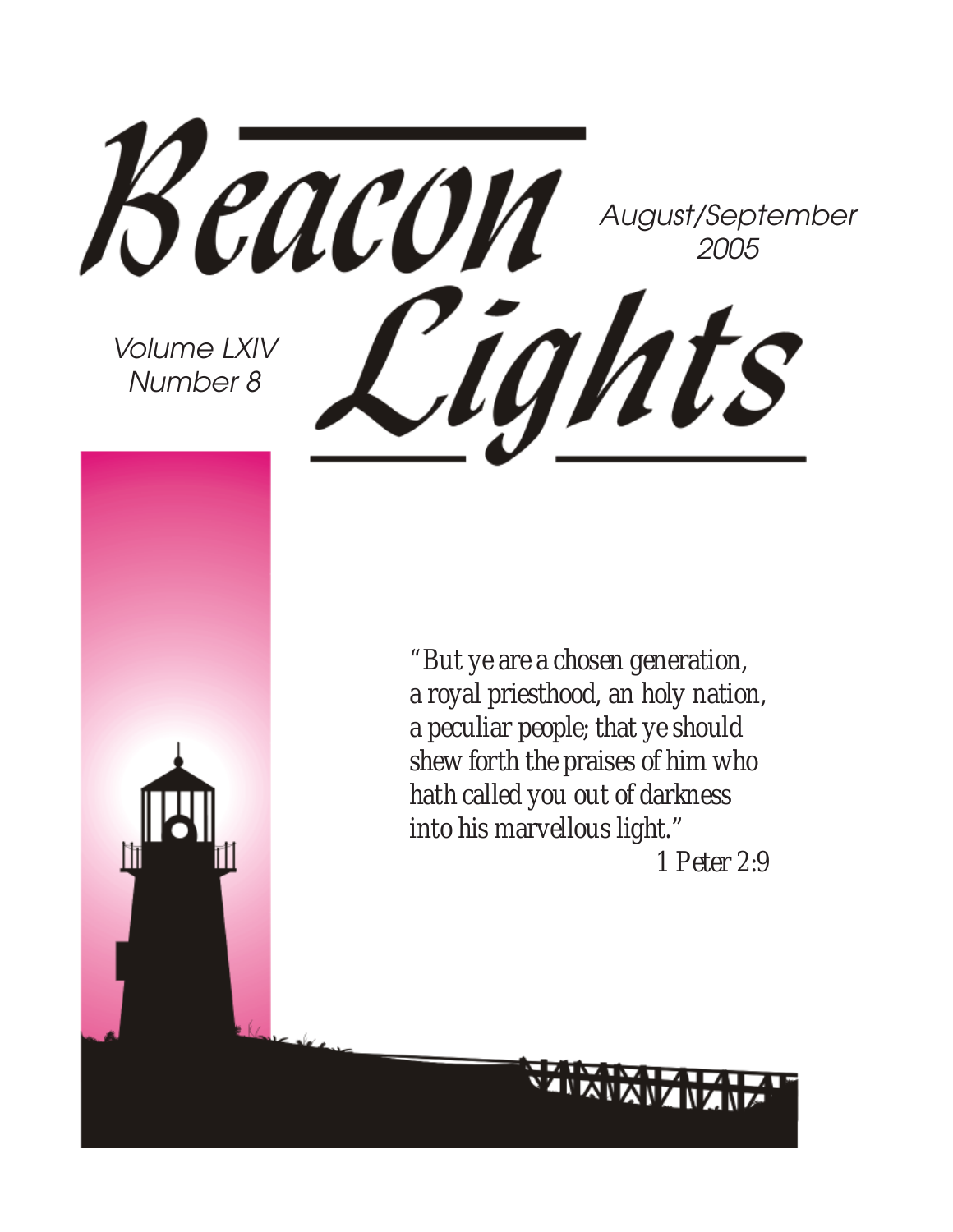Beacon August/September 2005 Cights Volume LXIV Number 8

*"But ye are a chosen generation, a royal priesthood, an holy nation, a peculiar people; that ye should shew forth the praises of him who hath called you out of darkness into his marvellous light."*

 *1 Peter 2:9*

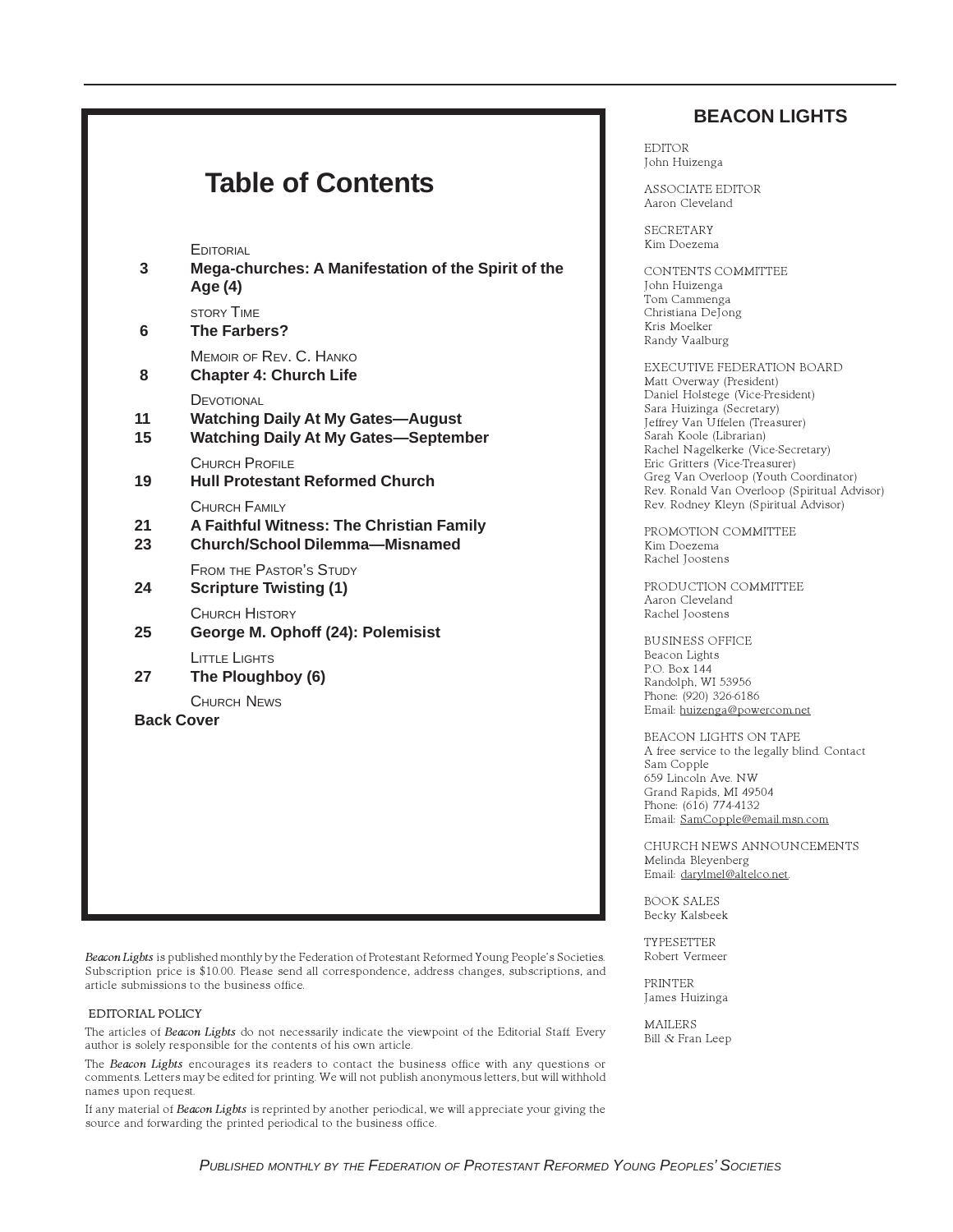#### **BEACON LIGHTS**

EDITOR John Huizenga

ASSOCIATE EDITOR Aaron Cleveland

SECRETARY Kim Doezema

CONTENTS COMMITTEE John Huizenga Tom Cammenga Christiana DeJong Kris Moelker Randy Vaalburg

EXECUTIVE FEDERATION BOARD Matt Overway (President) Daniel Holstege (Vice-President) Sara Huizinga (Secretary) Jeffrey Van Uffelen (Treasurer) Sarah Koole (Librarian) Rachel Nagelkerke (Vice-Secretary) Eric Gritters (Vice-Treasurer) Greg Van Overloop (Youth Coordinator) Rev. Ronald Van Overloop (Spiritual Advisor) Rev. Rodney Kleyn (Spiritual Advisor)

PROMOTION COMMITTEE Kim Doezema Rachel Joostens

PRODUCTION COMMITTEE Aaron Cleveland Rachel Joostens

BUSINESS OFFICE Beacon Lights P.O. Box 144 Randolph, WI 53956 Phone: (920) 326-6186 Email: huizenga@powercom.net

BEACON LIGHTS ON TAPE A free service to the legally blind. Contact Sam Copple 659 Lincoln Ave. NW Grand Rapids, MI 49504 Phone: (616) 774-4132 Email: SamCopple@email.msn.com

CHURCH NEWS ANNOUNCEMENTS Melinda Bleyenberg Email: darylmel@altelco.net.

BOOK SALES Becky Kalsbeek

TYPESETTER Robert Vermeer

PRINTER James Huizinga

MAILERS Bill & Fran Leep

#### **Table of Contents**

**EDITORIAL** 

**3 Mega-churches: A Manifestation of the Spirit of the Age (4)** STORY TIME **6 The Farbers?** MEMOIR OF REV. C. HANKO **8 Chapter 4: Church Life DEVOTIONAL 11 Watching Daily At My Gates—August 15 Watching Daily At My Gates—September** CHURCH PROFILE **19 Hull Protestant Reformed Church** CHURCH FAMILY **21 A Faithful Witness: The Christian Family 23 Church/School Dilemma—Misnamed** FROM THE PASTOR'S STUDY **24 Scripture Twisting (1)** CHURCH HISTORY **25 George M. Ophoff (24): Polemisist** LITTLE LIGHTS **27 The Ploughboy (6)** CHURCH NEWS **Back Cover**

Beacon Lights is published monthly by the Federation of Protestant Reformed Young People's Societies. Subscription price is \$10.00. Please send all correspondence, address changes, subscriptions, and article submissions to the business office.

#### EDITORIAL POLICY

The articles of Beacon Lights do not necessarily indicate the viewpoint of the Editorial Staff. Every author is solely responsible for the contents of his own article.

The Beacon Lights encourages its readers to contact the business office with any questions or comments. Letters may be edited for printing. We will not publish anonymous letters, but will withhold names upon request.

If any material of Beacon Lights is reprinted by another periodical, we will appreciate your giving the source and forwarding the printed periodical to the business office.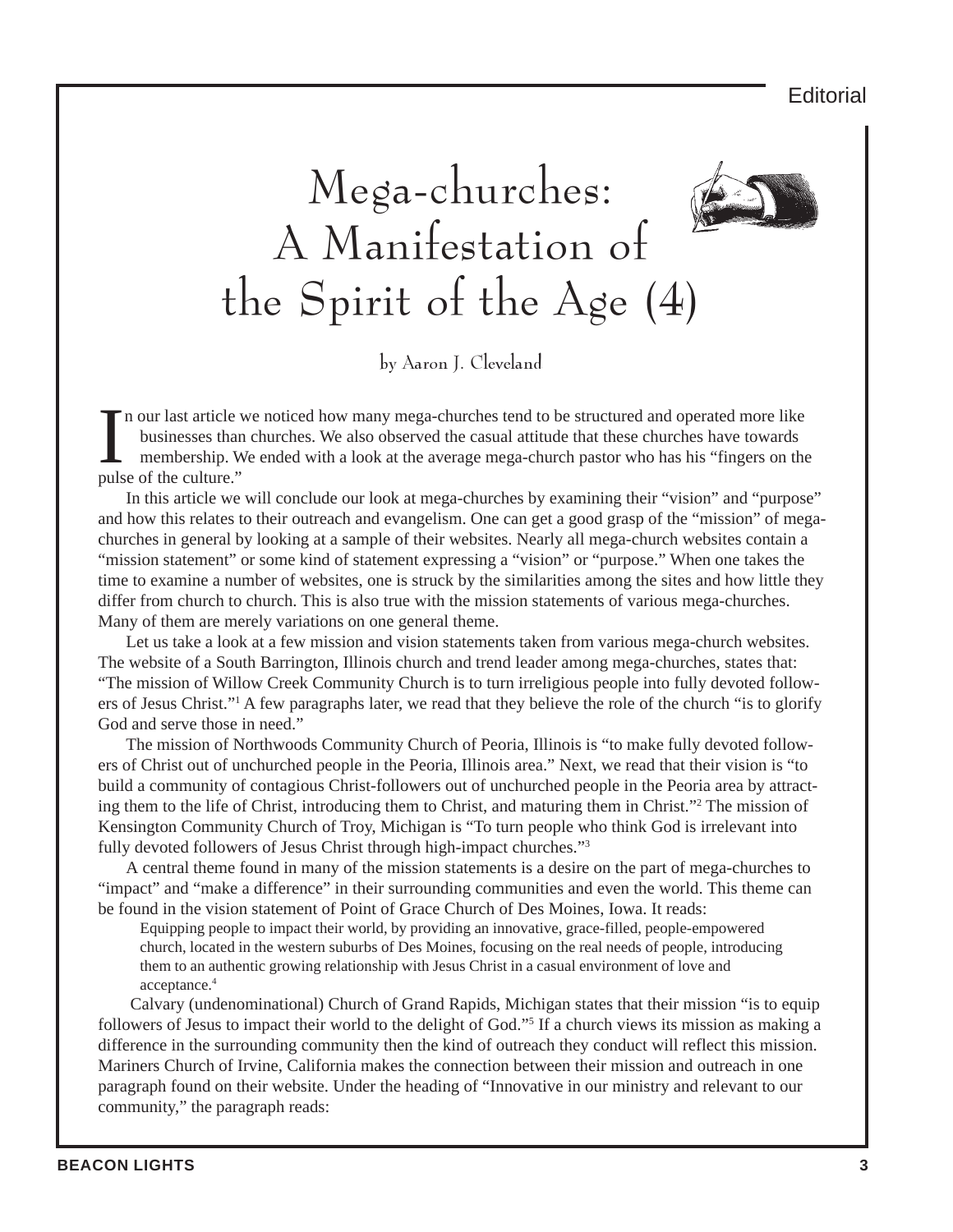

by Aaron J. Cleveland

In our last article<br>businesses than<br>membership. V<br>pulse of the culture." n our last article we noticed how many mega-churches tend to be structured and operated more like businesses than churches. We also observed the casual attitude that these churches have towards membership. We ended with a look at the average mega-church pastor who has his "fingers on the

In this article we will conclude our look at mega-churches by examining their "vision" and "purpose" and how this relates to their outreach and evangelism. One can get a good grasp of the "mission" of megachurches in general by looking at a sample of their websites. Nearly all mega-church websites contain a "mission statement" or some kind of statement expressing a "vision" or "purpose." When one takes the time to examine a number of websites, one is struck by the similarities among the sites and how little they differ from church to church. This is also true with the mission statements of various mega-churches. Many of them are merely variations on one general theme.

Let us take a look at a few mission and vision statements taken from various mega-church websites. The website of a South Barrington, Illinois church and trend leader among mega-churches, states that: "The mission of Willow Creek Community Church is to turn irreligious people into fully devoted followers of Jesus Christ."1 A few paragraphs later, we read that they believe the role of the church "is to glorify God and serve those in need."

The mission of Northwoods Community Church of Peoria, Illinois is "to make fully devoted followers of Christ out of unchurched people in the Peoria, Illinois area." Next, we read that their vision is "to build a community of contagious Christ-followers out of unchurched people in the Peoria area by attracting them to the life of Christ, introducing them to Christ, and maturing them in Christ."2 The mission of Kensington Community Church of Troy, Michigan is "To turn people who think God is irrelevant into fully devoted followers of Jesus Christ through high-impact churches."<sup>3</sup>

A central theme found in many of the mission statements is a desire on the part of mega-churches to "impact" and "make a difference" in their surrounding communities and even the world. This theme can be found in the vision statement of Point of Grace Church of Des Moines, Iowa. It reads:

Equipping people to impact their world, by providing an innovative, grace-filled, people-empowered church, located in the western suburbs of Des Moines, focusing on the real needs of people, introducing them to an authentic growing relationship with Jesus Christ in a casual environment of love and acceptance.4

 Calvary (undenominational) Church of Grand Rapids, Michigan states that their mission "is to equip followers of Jesus to impact their world to the delight of God."<sup>5</sup> If a church views its mission as making a difference in the surrounding community then the kind of outreach they conduct will reflect this mission. Mariners Church of Irvine, California makes the connection between their mission and outreach in one paragraph found on their website. Under the heading of "Innovative in our ministry and relevant to our community," the paragraph reads: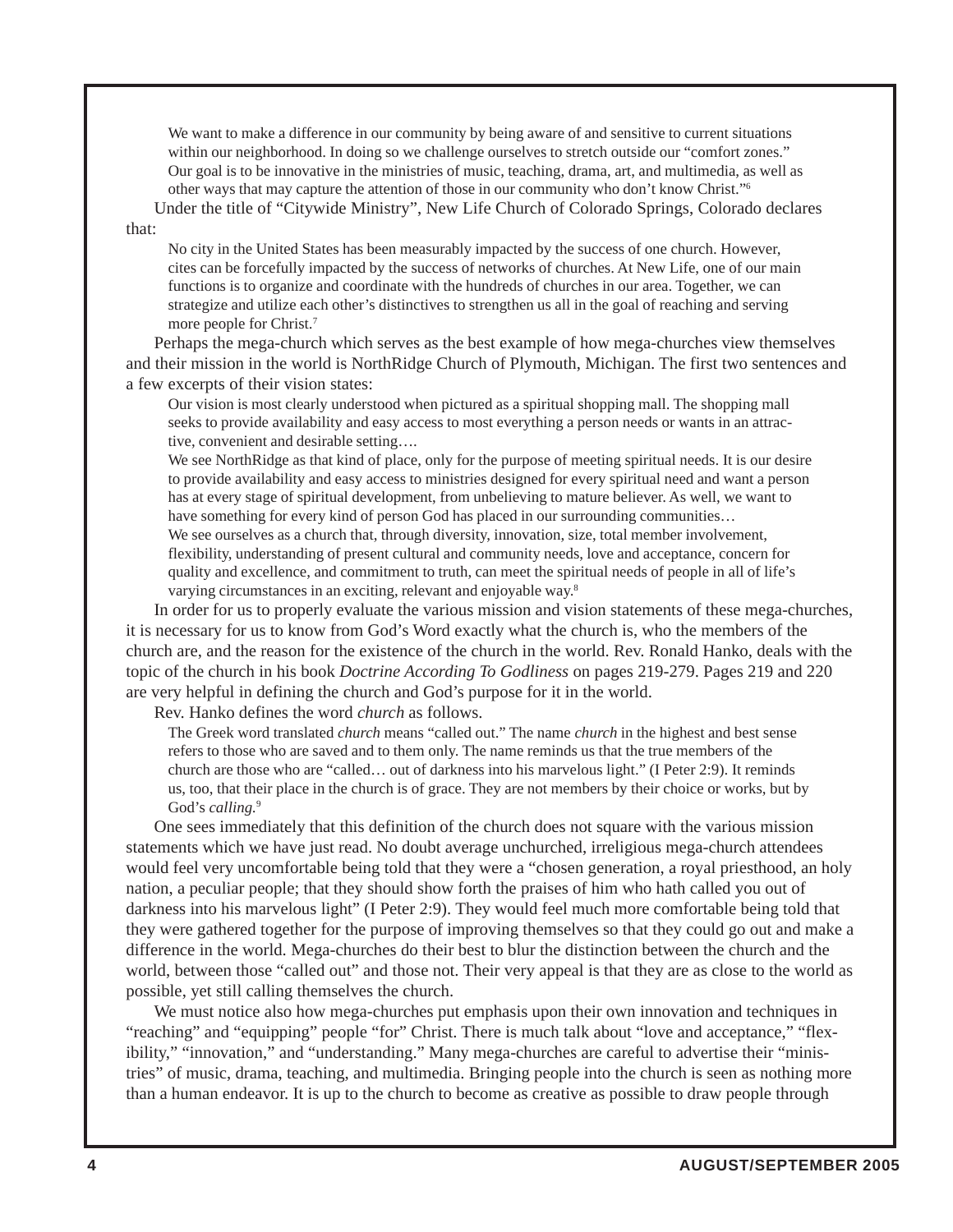We want to make a difference in our community by being aware of and sensitive to current situations within our neighborhood. In doing so we challenge ourselves to stretch outside our "comfort zones." Our goal is to be innovative in the ministries of music, teaching, drama, art, and multimedia, as well as other ways that may capture the attention of those in our community who don't know Christ."6 Under the title of "Citywide Ministry", New Life Church of Colorado Springs, Colorado declares

that:

No city in the United States has been measurably impacted by the success of one church. However, cites can be forcefully impacted by the success of networks of churches. At New Life, one of our main functions is to organize and coordinate with the hundreds of churches in our area. Together, we can strategize and utilize each other's distinctives to strengthen us all in the goal of reaching and serving more people for Christ.<sup>7</sup>

Perhaps the mega-church which serves as the best example of how mega-churches view themselves and their mission in the world is NorthRidge Church of Plymouth, Michigan. The first two sentences and a few excerpts of their vision states:

Our vision is most clearly understood when pictured as a spiritual shopping mall. The shopping mall seeks to provide availability and easy access to most everything a person needs or wants in an attractive, convenient and desirable setting….

We see NorthRidge as that kind of place, only for the purpose of meeting spiritual needs. It is our desire to provide availability and easy access to ministries designed for every spiritual need and want a person has at every stage of spiritual development, from unbelieving to mature believer. As well, we want to have something for every kind of person God has placed in our surrounding communities…

We see ourselves as a church that, through diversity, innovation, size, total member involvement, flexibility, understanding of present cultural and community needs, love and acceptance, concern for quality and excellence, and commitment to truth, can meet the spiritual needs of people in all of life's varying circumstances in an exciting, relevant and enjoyable way.8

In order for us to properly evaluate the various mission and vision statements of these mega-churches, it is necessary for us to know from God's Word exactly what the church is, who the members of the church are, and the reason for the existence of the church in the world. Rev. Ronald Hanko, deals with the topic of the church in his book *Doctrine According To Godliness* on pages 219-279. Pages 219 and 220 are very helpful in defining the church and God's purpose for it in the world.

Rev. Hanko defines the word *church* as follows.

The Greek word translated *church* means "called out." The name *church* in the highest and best sense refers to those who are saved and to them only. The name reminds us that the true members of the church are those who are "called… out of darkness into his marvelous light." (I Peter 2:9). It reminds us, too, that their place in the church is of grace. They are not members by their choice or works, but by God's *calling.*<sup>9</sup>

One sees immediately that this definition of the church does not square with the various mission statements which we have just read. No doubt average unchurched, irreligious mega-church attendees would feel very uncomfortable being told that they were a "chosen generation, a royal priesthood, an holy nation, a peculiar people; that they should show forth the praises of him who hath called you out of darkness into his marvelous light" (I Peter 2:9). They would feel much more comfortable being told that they were gathered together for the purpose of improving themselves so that they could go out and make a difference in the world. Mega-churches do their best to blur the distinction between the church and the world, between those "called out" and those not. Their very appeal is that they are as close to the world as possible, yet still calling themselves the church.

We must notice also how mega-churches put emphasis upon their own innovation and techniques in "reaching" and "equipping" people "for" Christ. There is much talk about "love and acceptance," "flexibility," "innovation," and "understanding." Many mega-churches are careful to advertise their "ministries" of music, drama, teaching, and multimedia. Bringing people into the church is seen as nothing more than a human endeavor. It is up to the church to become as creative as possible to draw people through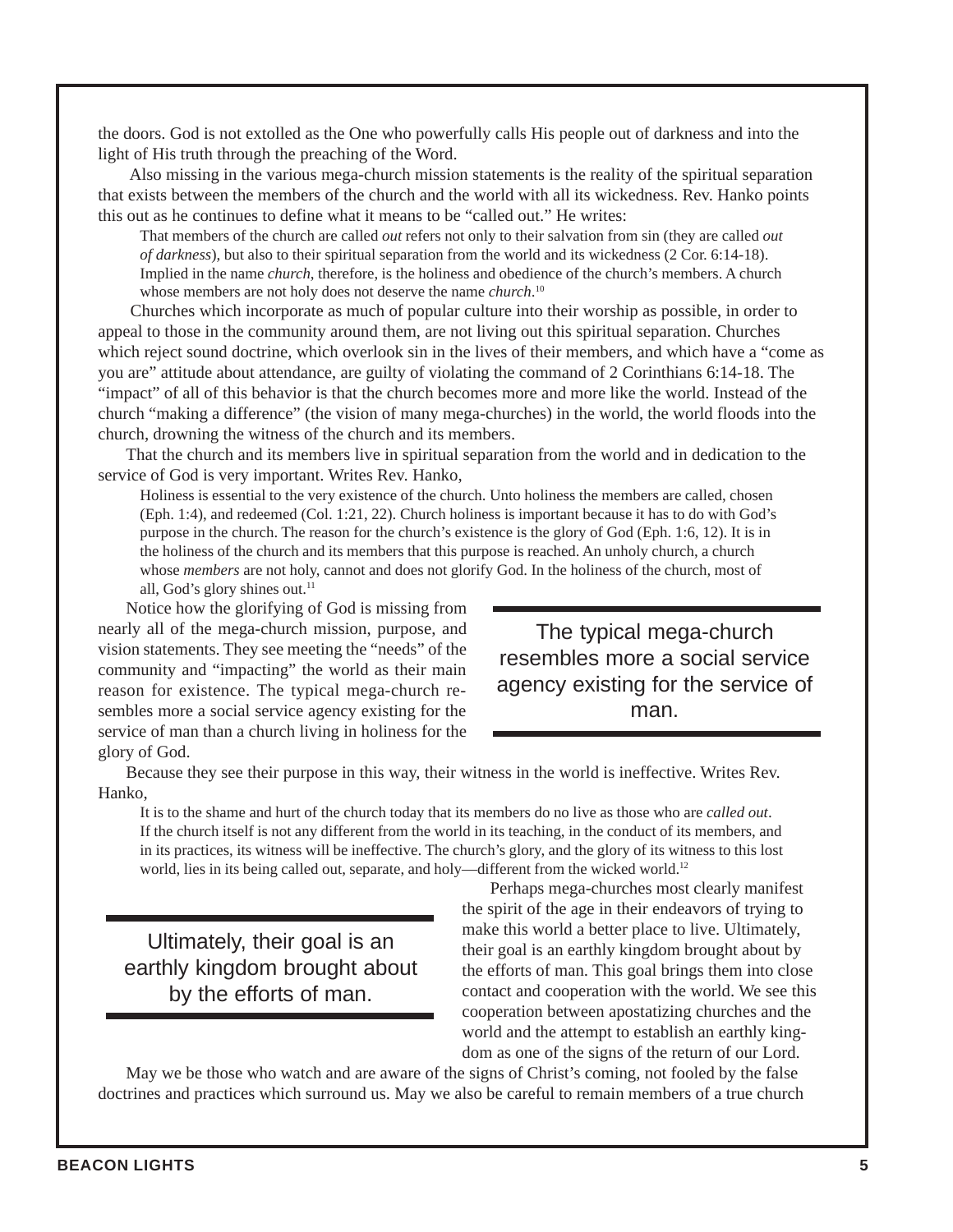the doors. God is not extolled as the One who powerfully calls His people out of darkness and into the light of His truth through the preaching of the Word.

 Also missing in the various mega-church mission statements is the reality of the spiritual separation that exists between the members of the church and the world with all its wickedness. Rev. Hanko points this out as he continues to define what it means to be "called out." He writes:

That members of the church are called *out* refers not only to their salvation from sin (they are called *out of darkness*), but also to their spiritual separation from the world and its wickedness (2 Cor. 6:14-18). Implied in the name *church*, therefore, is the holiness and obedience of the church's members. A church whose members are not holy does not deserve the name *church*. 10

 Churches which incorporate as much of popular culture into their worship as possible, in order to appeal to those in the community around them, are not living out this spiritual separation. Churches which reject sound doctrine, which overlook sin in the lives of their members, and which have a "come as you are" attitude about attendance, are guilty of violating the command of 2 Corinthians 6:14-18. The "impact" of all of this behavior is that the church becomes more and more like the world. Instead of the church "making a difference" (the vision of many mega-churches) in the world, the world floods into the church, drowning the witness of the church and its members.

That the church and its members live in spiritual separation from the world and in dedication to the service of God is very important. Writes Rev. Hanko,

Holiness is essential to the very existence of the church. Unto holiness the members are called, chosen (Eph. 1:4), and redeemed (Col. 1:21, 22). Church holiness is important because it has to do with God's purpose in the church. The reason for the church's existence is the glory of God (Eph. 1:6, 12). It is in the holiness of the church and its members that this purpose is reached. An unholy church, a church whose *members* are not holy, cannot and does not glorify God. In the holiness of the church, most of all, God's glory shines out.<sup>11</sup>

Notice how the glorifying of God is missing from nearly all of the mega-church mission, purpose, and vision statements. They see meeting the "needs" of the community and "impacting" the world as their main reason for existence. The typical mega-church resembles more a social service agency existing for the service of man than a church living in holiness for the glory of God.

The typical mega-church resembles more a social service agency existing for the service of man.

Because they see their purpose in this way, their witness in the world is ineffective. Writes Rev. Hanko,

It is to the shame and hurt of the church today that its members do no live as those who are *called out*. If the church itself is not any different from the world in its teaching, in the conduct of its members, and in its practices, its witness will be ineffective. The church's glory, and the glory of its witness to this lost world, lies in its being called out, separate, and holy—different from the wicked world.<sup>12</sup>

Ultimately, their goal is an earthly kingdom brought about by the efforts of man.

Perhaps mega-churches most clearly manifest the spirit of the age in their endeavors of trying to make this world a better place to live. Ultimately, their goal is an earthly kingdom brought about by the efforts of man. This goal brings them into close contact and cooperation with the world. We see this cooperation between apostatizing churches and the world and the attempt to establish an earthly kingdom as one of the signs of the return of our Lord.

May we be those who watch and are aware of the signs of Christ's coming, not fooled by the false doctrines and practices which surround us. May we also be careful to remain members of a true church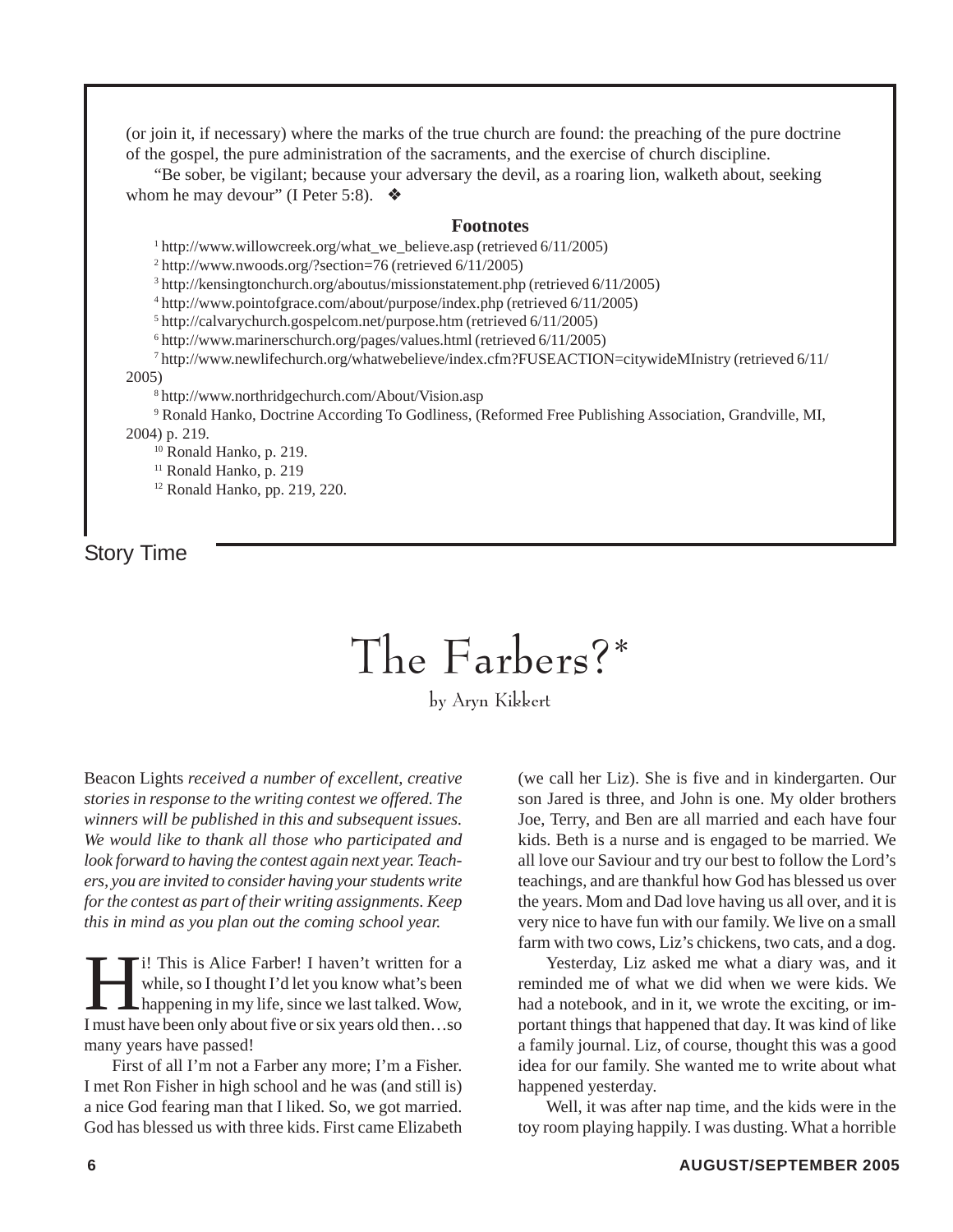(or join it, if necessary) where the marks of the true church are found: the preaching of the pure doctrine of the gospel, the pure administration of the sacraments, and the exercise of church discipline.

"Be sober, be vigilant; because your adversary the devil, as a roaring lion, walketh about, seeking whom he may devour" (I Peter 5:8).  $\bullet$ 

#### **Footnotes**

<sup>1</sup> http://www.willowcreek.org/what\_we\_believe.asp (retrieved 6/11/2005)

2 http://www.nwoods.org/?section=76 (retrieved 6/11/2005)

3 http://kensingtonchurch.org/aboutus/missionstatement.php (retrieved 6/11/2005)

4 http://www.pointofgrace.com/about/purpose/index.php (retrieved 6/11/2005)

5 http://calvarychurch.gospelcom.net/purpose.htm (retrieved 6/11/2005)

6 http://www.marinerschurch.org/pages/values.html (retrieved 6/11/2005)

7 http://www.newlifechurch.org/whatwebelieve/index.cfm?FUSEACTION=citywideMInistry (retrieved 6/11/  $2005$ 

http://www.northridgechurch.com/About/Vision.asp

9 Ronald Hanko, Doctrine According To Godliness, (Reformed Free Publishing Association, Grandville, MI, 2004) p. 219.

<sup>10</sup> Ronald Hanko, p. 219.

<sup>11</sup> Ronald Hanko, p. 219

12 Ronald Hanko, pp. 219, 220.

Story Time

## The Farbers?\*

by Aryn Kikkert

Beacon Lights *received a number of excellent, creative stories in response to the writing contest we offered. The winners will be published in this and subsequent issues. We would like to thank all those who participated and look forward to having the contest again next year. Teachers, you are invited to consider having your students write for the contest as part of their writing assignments. Keep this in mind as you plan out the coming school year.*

II: This is Alice Farber! I haven't written for a<br>while, so I thought I'd let you know what's been<br>happening in my life, since we last talked. Wow, while, so I thought I'd let you know what's been happening in my life, since we last talked. Wow, I must have been only about five or six years old then…so many years have passed!

First of all I'm not a Farber any more; I'm a Fisher. I met Ron Fisher in high school and he was (and still is) a nice God fearing man that I liked. So, we got married. God has blessed us with three kids. First came Elizabeth

(we call her Liz). She is five and in kindergarten. Our son Jared is three, and John is one. My older brothers Joe, Terry, and Ben are all married and each have four kids. Beth is a nurse and is engaged to be married. We all love our Saviour and try our best to follow the Lord's teachings, and are thankful how God has blessed us over the years. Mom and Dad love having us all over, and it is very nice to have fun with our family. We live on a small farm with two cows, Liz's chickens, two cats, and a dog.

Yesterday, Liz asked me what a diary was, and it reminded me of what we did when we were kids. We had a notebook, and in it, we wrote the exciting, or important things that happened that day. It was kind of like a family journal. Liz, of course, thought this was a good idea for our family. She wanted me to write about what happened yesterday.

Well, it was after nap time, and the kids were in the toy room playing happily. I was dusting. What a horrible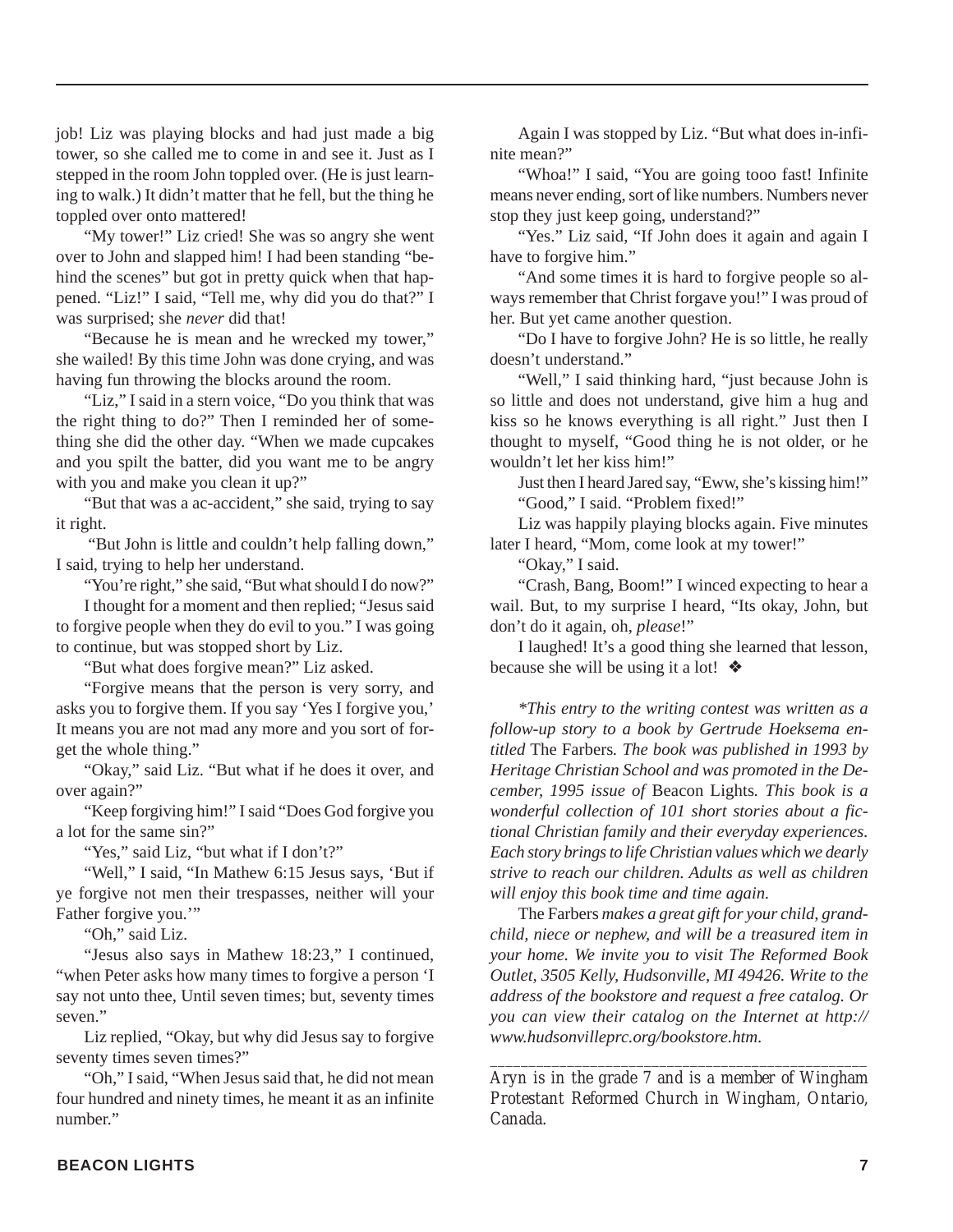job! Liz was playing blocks and had just made a big tower, so she called me to come in and see it. Just as I stepped in the room John toppled over. (He is just learning to walk.) It didn't matter that he fell, but the thing he toppled over onto mattered!

"My tower!" Liz cried! She was so angry she went over to John and slapped him! I had been standing "behind the scenes" but got in pretty quick when that happened. "Liz!" I said, "Tell me, why did you do that?" I was surprised; she *never* did that!

"Because he is mean and he wrecked my tower," she wailed! By this time John was done crying, and was having fun throwing the blocks around the room.

"Liz," I said in a stern voice, "Do you think that was the right thing to do?" Then I reminded her of something she did the other day. "When we made cupcakes and you spilt the batter, did you want me to be angry with you and make you clean it up?"

"But that was a ac-accident," she said, trying to say it right.

 "But John is little and couldn't help falling down," I said, trying to help her understand.

"You're right," she said, "But what should I do now?"

I thought for a moment and then replied; "Jesus said to forgive people when they do evil to you." I was going to continue, but was stopped short by Liz.

"But what does forgive mean?" Liz asked.

"Forgive means that the person is very sorry, and asks you to forgive them. If you say 'Yes I forgive you,' It means you are not mad any more and you sort of forget the whole thing."

"Okay," said Liz. "But what if he does it over, and over again?"

"Keep forgiving him!" I said "Does God forgive you a lot for the same sin?"

"Yes," said Liz, "but what if I don't?"

"Well," I said, "In Mathew 6:15 Jesus says, 'But if ye forgive not men their trespasses, neither will your Father forgive you.'"

"Oh," said Liz.

"Jesus also says in Mathew 18:23," I continued, "when Peter asks how many times to forgive a person 'I say not unto thee, Until seven times; but, seventy times seven"

Liz replied, "Okay, but why did Jesus say to forgive seventy times seven times?"

"Oh," I said, "When Jesus said that, he did not mean four hundred and ninety times, he meant it as an infinite number"

Again I was stopped by Liz. "But what does in-infinite mean?"

"Whoa!" I said, "You are going tooo fast! Infinite means never ending, sort of like numbers. Numbers never stop they just keep going, understand?"

"Yes." Liz said, "If John does it again and again I have to forgive him."

"And some times it is hard to forgive people so always remember that Christ forgave you!" I was proud of her. But yet came another question.

"Do I have to forgive John? He is so little, he really doesn't understand."

"Well," I said thinking hard, "just because John is so little and does not understand, give him a hug and kiss so he knows everything is all right." Just then I thought to myself, "Good thing he is not older, or he wouldn't let her kiss him!"

Just then I heard Jared say, "Eww, she's kissing him!" "Good," I said. "Problem fixed!"

Liz was happily playing blocks again. Five minutes later I heard, "Mom, come look at my tower!"

"Okay," I said.

"Crash, Bang, Boom!" I winced expecting to hear a wail. But, to my surprise I heard, "Its okay, John, but don't do it again, oh, *please*!"

I laughed! It's a good thing she learned that lesson, because she will be using it a lot!  $\triangleleft$ 

*\*This entry to the writing contest was written as a follow-up story to a book by Gertrude Hoeksema entitled* The Farbers*. The book was published in 1993 by Heritage Christian School and was promoted in the December, 1995 issue of* Beacon Lights*. This book is a wonderful collection of 101 short stories about a fictional Christian family and their everyday experiences. Each story brings to life Christian values which we dearly strive to reach our children. Adults as well as children will enjoy this book time and time again.*

The Farbers *makes a great gift for your child, grandchild, niece or nephew, and will be a treasured item in your home. We invite you to visit The Reformed Book Outlet, 3505 Kelly, Hudsonville, MI 49426. Write to the address of the bookstore and request a free catalog. Or you can view their catalog on the Internet at http:// www.hudsonvilleprc.org/bookstore.htm.*

*Aryn is in the grade 7 and is a member of Wingham Protestant Reformed Church in Wingham, Ontario, Canada.*

*\_\_\_\_\_\_\_\_\_\_\_\_\_\_\_\_\_\_\_\_\_\_\_\_\_\_\_\_\_\_\_\_\_\_\_\_\_\_\_\_\_\_\_\_\_\_\_\_\_*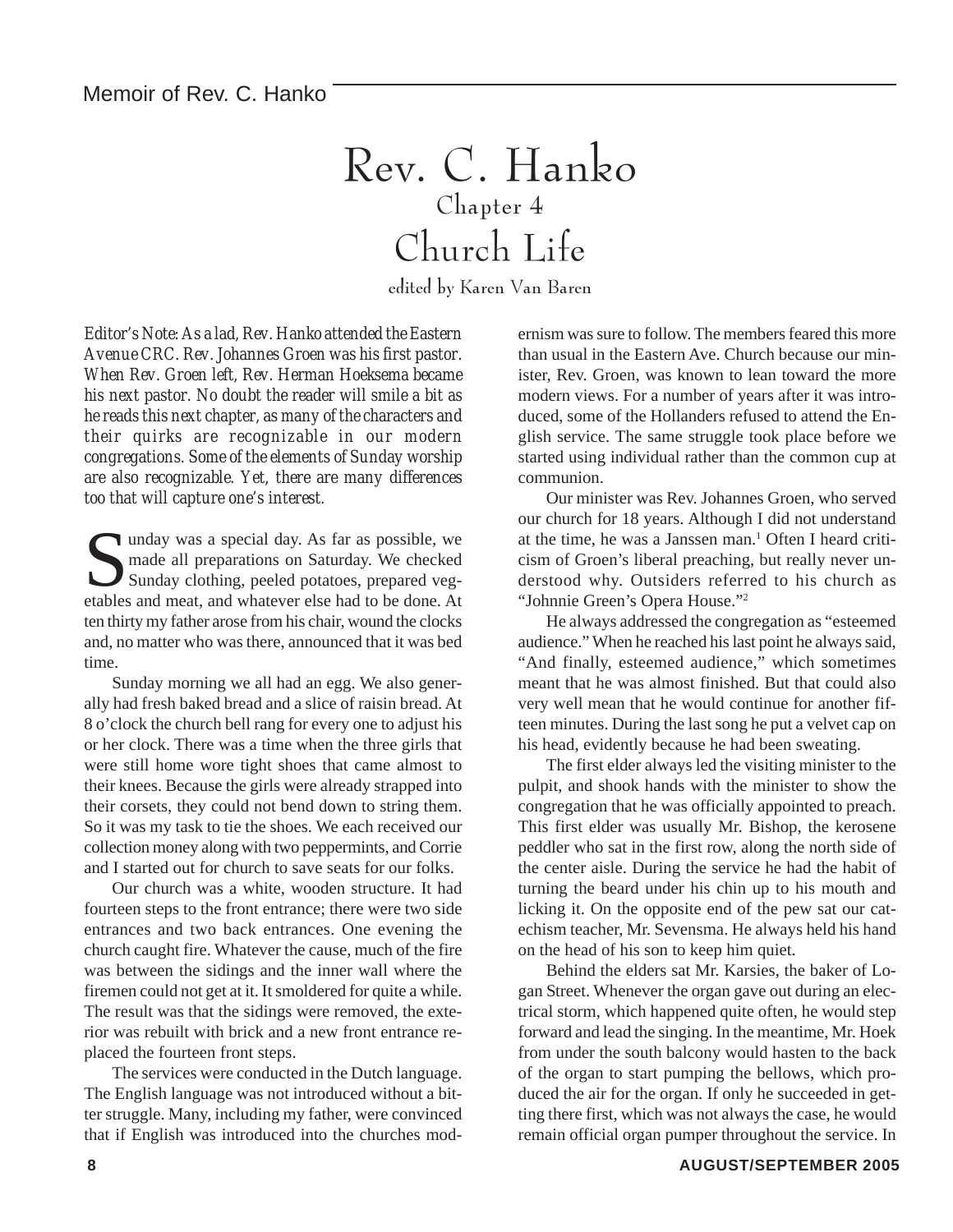## Rev. C. Hanko Chapter 4 Church Life

edited by Karen Van Baren

*Editor's Note: As a lad, Rev. Hanko attended the Eastern Avenue CRC. Rev. Johannes Groen was his first pastor. When Rev. Groen left, Rev. Herman Hoeksema became his next pastor. No doubt the reader will smile a bit as he reads this next chapter, as many of the characters and their quirks are recognizable in our modern congregations. Some of the elements of Sunday worship are also recognizable. Yet, there are many differences too that will capture one's interest.*

I unday was a special day. As far as possible, we made all preparations on Saturday. We checked Sunday clothing, peeled potatoes, prepared vegetables and meat, and whatever else had to be done. At ten thirty my father arose from his chair, wound the clocks and, no matter who was there, announced that it was bed time.

Sunday morning we all had an egg. We also generally had fresh baked bread and a slice of raisin bread. At 8 o'clock the church bell rang for every one to adjust his or her clock. There was a time when the three girls that were still home wore tight shoes that came almost to their knees. Because the girls were already strapped into their corsets, they could not bend down to string them. So it was my task to tie the shoes. We each received our collection money along with two peppermints, and Corrie and I started out for church to save seats for our folks.

Our church was a white, wooden structure. It had fourteen steps to the front entrance; there were two side entrances and two back entrances. One evening the church caught fire. Whatever the cause, much of the fire was between the sidings and the inner wall where the firemen could not get at it. It smoldered for quite a while. The result was that the sidings were removed, the exterior was rebuilt with brick and a new front entrance replaced the fourteen front steps.

The services were conducted in the Dutch language. The English language was not introduced without a bitter struggle. Many, including my father, were convinced that if English was introduced into the churches modernism was sure to follow. The members feared this more than usual in the Eastern Ave. Church because our minister, Rev. Groen, was known to lean toward the more modern views. For a number of years after it was introduced, some of the Hollanders refused to attend the English service. The same struggle took place before we started using individual rather than the common cup at communion.

Our minister was Rev. Johannes Groen, who served our church for 18 years. Although I did not understand at the time, he was a Janssen man.<sup>1</sup> Often I heard criticism of Groen's liberal preaching, but really never understood why. Outsiders referred to his church as "Johnnie Green's Opera House."2

He always addressed the congregation as "esteemed audience." When he reached his last point he always said, "And finally, esteemed audience," which sometimes meant that he was almost finished. But that could also very well mean that he would continue for another fifteen minutes. During the last song he put a velvet cap on his head, evidently because he had been sweating.

The first elder always led the visiting minister to the pulpit, and shook hands with the minister to show the congregation that he was officially appointed to preach. This first elder was usually Mr. Bishop, the kerosene peddler who sat in the first row, along the north side of the center aisle. During the service he had the habit of turning the beard under his chin up to his mouth and licking it. On the opposite end of the pew sat our catechism teacher, Mr. Sevensma. He always held his hand on the head of his son to keep him quiet.

Behind the elders sat Mr. Karsies, the baker of Logan Street. Whenever the organ gave out during an electrical storm, which happened quite often, he would step forward and lead the singing. In the meantime, Mr. Hoek from under the south balcony would hasten to the back of the organ to start pumping the bellows, which produced the air for the organ. If only he succeeded in getting there first, which was not always the case, he would remain official organ pumper throughout the service. In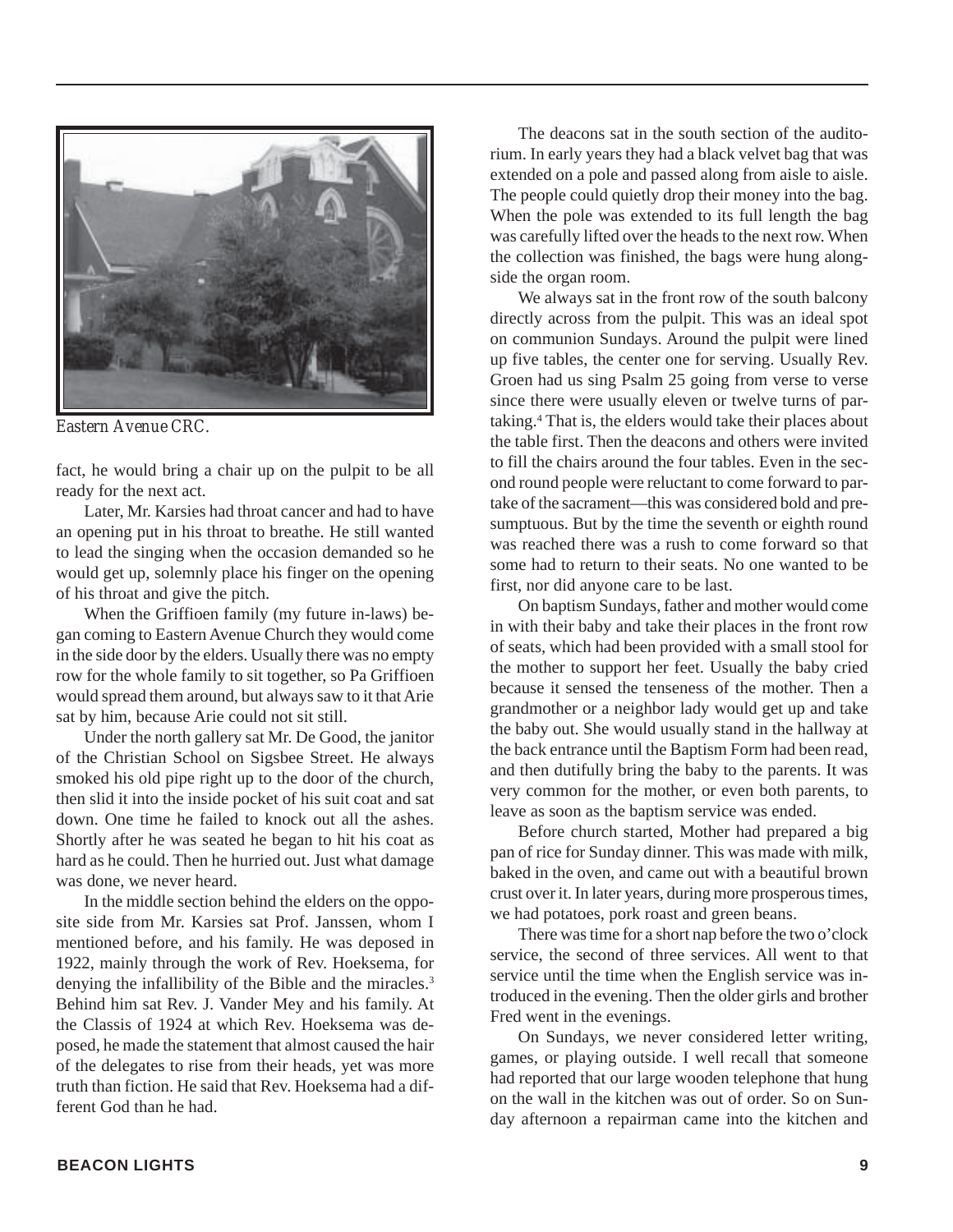

*Eastern Avenue CRC.*

fact, he would bring a chair up on the pulpit to be all ready for the next act.

Later, Mr. Karsies had throat cancer and had to have an opening put in his throat to breathe. He still wanted to lead the singing when the occasion demanded so he would get up, solemnly place his finger on the opening of his throat and give the pitch.

When the Griffioen family (my future in-laws) began coming to Eastern Avenue Church they would come in the side door by the elders. Usually there was no empty row for the whole family to sit together, so Pa Griffioen would spread them around, but always saw to it that Arie sat by him, because Arie could not sit still.

Under the north gallery sat Mr. De Good, the janitor of the Christian School on Sigsbee Street. He always smoked his old pipe right up to the door of the church, then slid it into the inside pocket of his suit coat and sat down. One time he failed to knock out all the ashes. Shortly after he was seated he began to hit his coat as hard as he could. Then he hurried out. Just what damage was done, we never heard.

In the middle section behind the elders on the opposite side from Mr. Karsies sat Prof. Janssen, whom I mentioned before, and his family. He was deposed in 1922, mainly through the work of Rev. Hoeksema, for denying the infallibility of the Bible and the miracles.<sup>3</sup> Behind him sat Rev. J. Vander Mey and his family. At the Classis of 1924 at which Rev. Hoeksema was deposed, he made the statement that almost caused the hair of the delegates to rise from their heads, yet was more truth than fiction. He said that Rev. Hoeksema had a different God than he had.

The deacons sat in the south section of the auditorium. In early years they had a black velvet bag that was extended on a pole and passed along from aisle to aisle. The people could quietly drop their money into the bag. When the pole was extended to its full length the bag was carefully lifted over the heads to the next row. When the collection was finished, the bags were hung alongside the organ room.

We always sat in the front row of the south balcony directly across from the pulpit. This was an ideal spot on communion Sundays. Around the pulpit were lined up five tables, the center one for serving. Usually Rev. Groen had us sing Psalm 25 going from verse to verse since there were usually eleven or twelve turns of partaking.4 That is, the elders would take their places about the table first. Then the deacons and others were invited to fill the chairs around the four tables. Even in the second round people were reluctant to come forward to partake of the sacrament—this was considered bold and presumptuous. But by the time the seventh or eighth round was reached there was a rush to come forward so that some had to return to their seats. No one wanted to be first, nor did anyone care to be last.

On baptism Sundays, father and mother would come in with their baby and take their places in the front row of seats, which had been provided with a small stool for the mother to support her feet. Usually the baby cried because it sensed the tenseness of the mother. Then a grandmother or a neighbor lady would get up and take the baby out. She would usually stand in the hallway at the back entrance until the Baptism Form had been read, and then dutifully bring the baby to the parents. It was very common for the mother, or even both parents, to leave as soon as the baptism service was ended.

Before church started, Mother had prepared a big pan of rice for Sunday dinner. This was made with milk, baked in the oven, and came out with a beautiful brown crust over it. In later years, during more prosperous times, we had potatoes, pork roast and green beans.

There was time for a short nap before the two o'clock service, the second of three services. All went to that service until the time when the English service was introduced in the evening. Then the older girls and brother Fred went in the evenings.

On Sundays, we never considered letter writing, games, or playing outside. I well recall that someone had reported that our large wooden telephone that hung on the wall in the kitchen was out of order. So on Sunday afternoon a repairman came into the kitchen and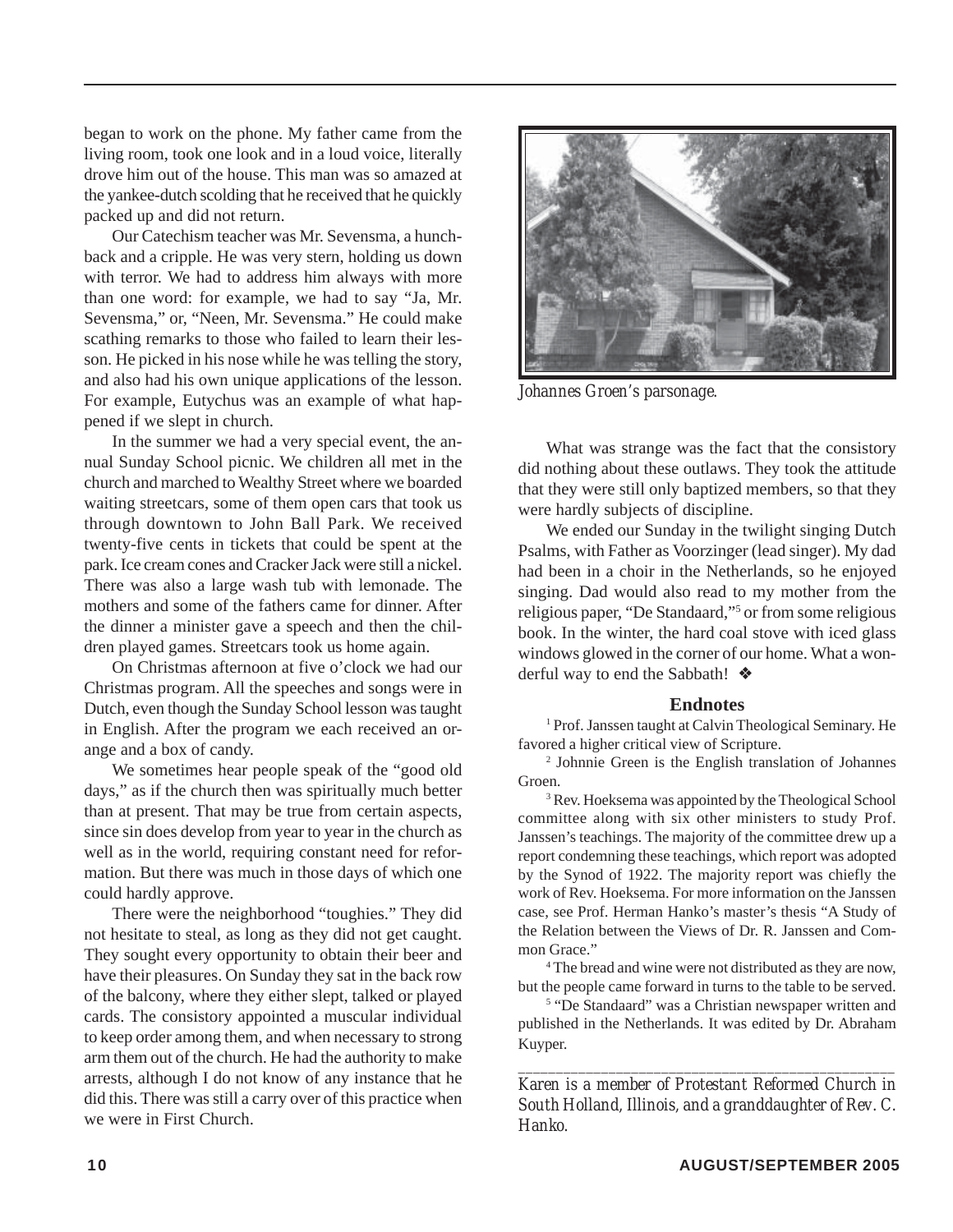began to work on the phone. My father came from the living room, took one look and in a loud voice, literally drove him out of the house. This man was so amazed at the yankee-dutch scolding that he received that he quickly packed up and did not return.

Our Catechism teacher was Mr. Sevensma, a hunchback and a cripple. He was very stern, holding us down with terror. We had to address him always with more than one word: for example, we had to say "Ja, Mr. Sevensma," or, "Neen, Mr. Sevensma." He could make scathing remarks to those who failed to learn their lesson. He picked in his nose while he was telling the story, and also had his own unique applications of the lesson. For example, Eutychus was an example of what happened if we slept in church.

In the summer we had a very special event, the annual Sunday School picnic. We children all met in the church and marched to Wealthy Street where we boarded waiting streetcars, some of them open cars that took us through downtown to John Ball Park. We received twenty-five cents in tickets that could be spent at the park. Ice cream cones and Cracker Jack were still a nickel. There was also a large wash tub with lemonade. The mothers and some of the fathers came for dinner. After the dinner a minister gave a speech and then the children played games. Streetcars took us home again.

On Christmas afternoon at five o'clock we had our Christmas program. All the speeches and songs were in Dutch, even though the Sunday School lesson was taught in English. After the program we each received an orange and a box of candy.

We sometimes hear people speak of the "good old days," as if the church then was spiritually much better than at present. That may be true from certain aspects, since sin does develop from year to year in the church as well as in the world, requiring constant need for reformation. But there was much in those days of which one could hardly approve.

There were the neighborhood "toughies." They did not hesitate to steal, as long as they did not get caught. They sought every opportunity to obtain their beer and have their pleasures. On Sunday they sat in the back row of the balcony, where they either slept, talked or played cards. The consistory appointed a muscular individual to keep order among them, and when necessary to strong arm them out of the church. He had the authority to make arrests, although I do not know of any instance that he did this. There was still a carry over of this practice when we were in First Church.



*Johannes Groen's parsonage.*

What was strange was the fact that the consistory did nothing about these outlaws. They took the attitude that they were still only baptized members, so that they were hardly subjects of discipline.

We ended our Sunday in the twilight singing Dutch Psalms, with Father as Voorzinger (lead singer). My dad had been in a choir in the Netherlands, so he enjoyed singing. Dad would also read to my mother from the religious paper, "De Standaard,"<sup>5</sup> or from some religious book. In the winter, the hard coal stove with iced glass windows glowed in the corner of our home. What a wonderful way to end the Sabbath! ❖

#### **Endnotes**

<sup>1</sup> Prof. Janssen taught at Calvin Theological Seminary. He favored a higher critical view of Scripture.

2 Johnnie Green is the English translation of Johannes Groen.

<sup>3</sup> Rev. Hoeksema was appointed by the Theological School committee along with six other ministers to study Prof. Janssen's teachings. The majority of the committee drew up a report condemning these teachings, which report was adopted by the Synod of 1922. The majority report was chiefly the work of Rev. Hoeksema. For more information on the Janssen case, see Prof. Herman Hanko's master's thesis "A Study of the Relation between the Views of Dr. R. Janssen and Common Grace."

4 The bread and wine were not distributed as they are now, but the people came forward in turns to the table to be served.

<sup>5</sup> "De Standaard" was a Christian newspaper written and published in the Netherlands. It was edited by Dr. Abraham Kuyper.

*\_\_\_\_\_\_\_\_\_\_\_\_\_\_\_\_\_\_\_\_\_\_\_\_\_\_\_\_\_\_\_\_\_\_\_\_\_\_\_\_\_\_\_\_\_\_\_\_\_\_ Karen is a member of Protestant Reformed Church in South Holland, Illinois, and a granddaughter of Rev. C. Hanko.*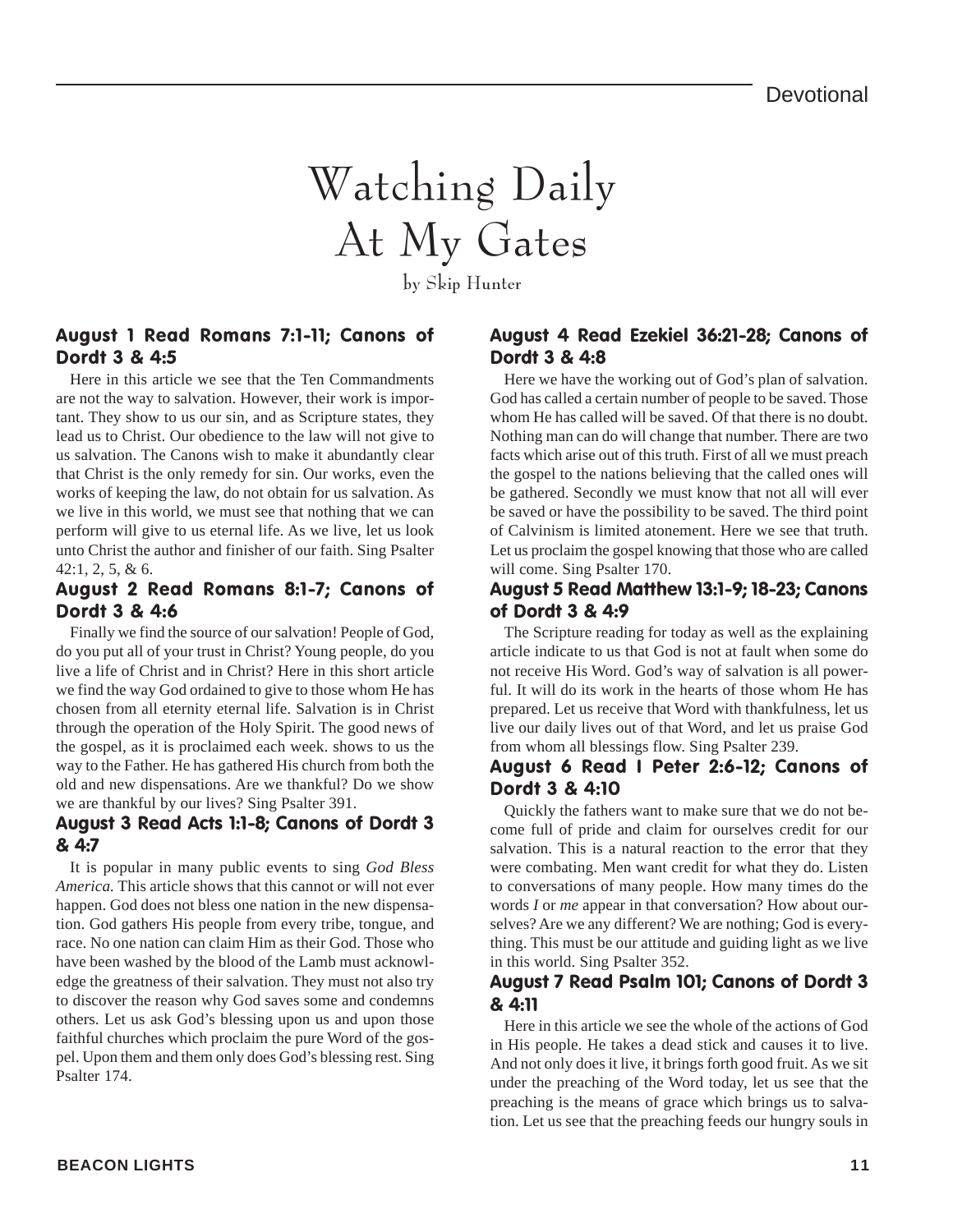## Watching Daily At My Gates

by Skip Hunter

#### August 1 Read Romans 7:1-11; Canons of Dordt 3 & 4:5

Here in this article we see that the Ten Commandments are not the way to salvation. However, their work is important. They show to us our sin, and as Scripture states, they lead us to Christ. Our obedience to the law will not give to us salvation. The Canons wish to make it abundantly clear that Christ is the only remedy for sin. Our works, even the works of keeping the law, do not obtain for us salvation. As we live in this world, we must see that nothing that we can perform will give to us eternal life. As we live, let us look unto Christ the author and finisher of our faith. Sing Psalter 42:1, 2, 5, & 6.

#### August 2 Read Romans 8:1-7; Canons of Dordt 3 & 4:6

Finally we find the source of our salvation! People of God, do you put all of your trust in Christ? Young people, do you live a life of Christ and in Christ? Here in this short article we find the way God ordained to give to those whom He has chosen from all eternity eternal life. Salvation is in Christ through the operation of the Holy Spirit. The good news of the gospel, as it is proclaimed each week. shows to us the way to the Father. He has gathered His church from both the old and new dispensations. Are we thankful? Do we show we are thankful by our lives? Sing Psalter 391.

#### August 3 Read Acts 1:1-8; Canons of Dordt 3 & 4:7

It is popular in many public events to sing *God Bless America.* This article shows that this cannot or will not ever happen. God does not bless one nation in the new dispensation. God gathers His people from every tribe, tongue, and race. No one nation can claim Him as their God. Those who have been washed by the blood of the Lamb must acknowledge the greatness of their salvation. They must not also try to discover the reason why God saves some and condemns others. Let us ask God's blessing upon us and upon those faithful churches which proclaim the pure Word of the gospel. Upon them and them only does God's blessing rest. Sing Psalter 174.

#### August 4 Read Ezekiel 36:21-28; Canons of Dordt 3 & 4:8

Here we have the working out of God's plan of salvation. God has called a certain number of people to be saved. Those whom He has called will be saved. Of that there is no doubt. Nothing man can do will change that number. There are two facts which arise out of this truth. First of all we must preach the gospel to the nations believing that the called ones will be gathered. Secondly we must know that not all will ever be saved or have the possibility to be saved. The third point of Calvinism is limited atonement. Here we see that truth. Let us proclaim the gospel knowing that those who are called will come. Sing Psalter 170.

#### August 5 Read Matthew 13:1-9; 18-23; Canons of Dordt 3 & 4:9

The Scripture reading for today as well as the explaining article indicate to us that God is not at fault when some do not receive His Word. God's way of salvation is all powerful. It will do its work in the hearts of those whom He has prepared. Let us receive that Word with thankfulness, let us live our daily lives out of that Word, and let us praise God from whom all blessings flow. Sing Psalter 239.

#### August 6 Read I Peter 2:6-12; Canons of Dordt 3 & 4:10

Quickly the fathers want to make sure that we do not become full of pride and claim for ourselves credit for our salvation. This is a natural reaction to the error that they were combating. Men want credit for what they do. Listen to conversations of many people. How many times do the words *I* or *me* appear in that conversation? How about ourselves? Are we any different? We are nothing; God is everything. This must be our attitude and guiding light as we live in this world. Sing Psalter 352.

#### August 7 Read Psalm 101; Canons of Dordt 3 & 4:11

Here in this article we see the whole of the actions of God in His people. He takes a dead stick and causes it to live. And not only does it live, it brings forth good fruit. As we sit under the preaching of the Word today, let us see that the preaching is the means of grace which brings us to salvation. Let us see that the preaching feeds our hungry souls in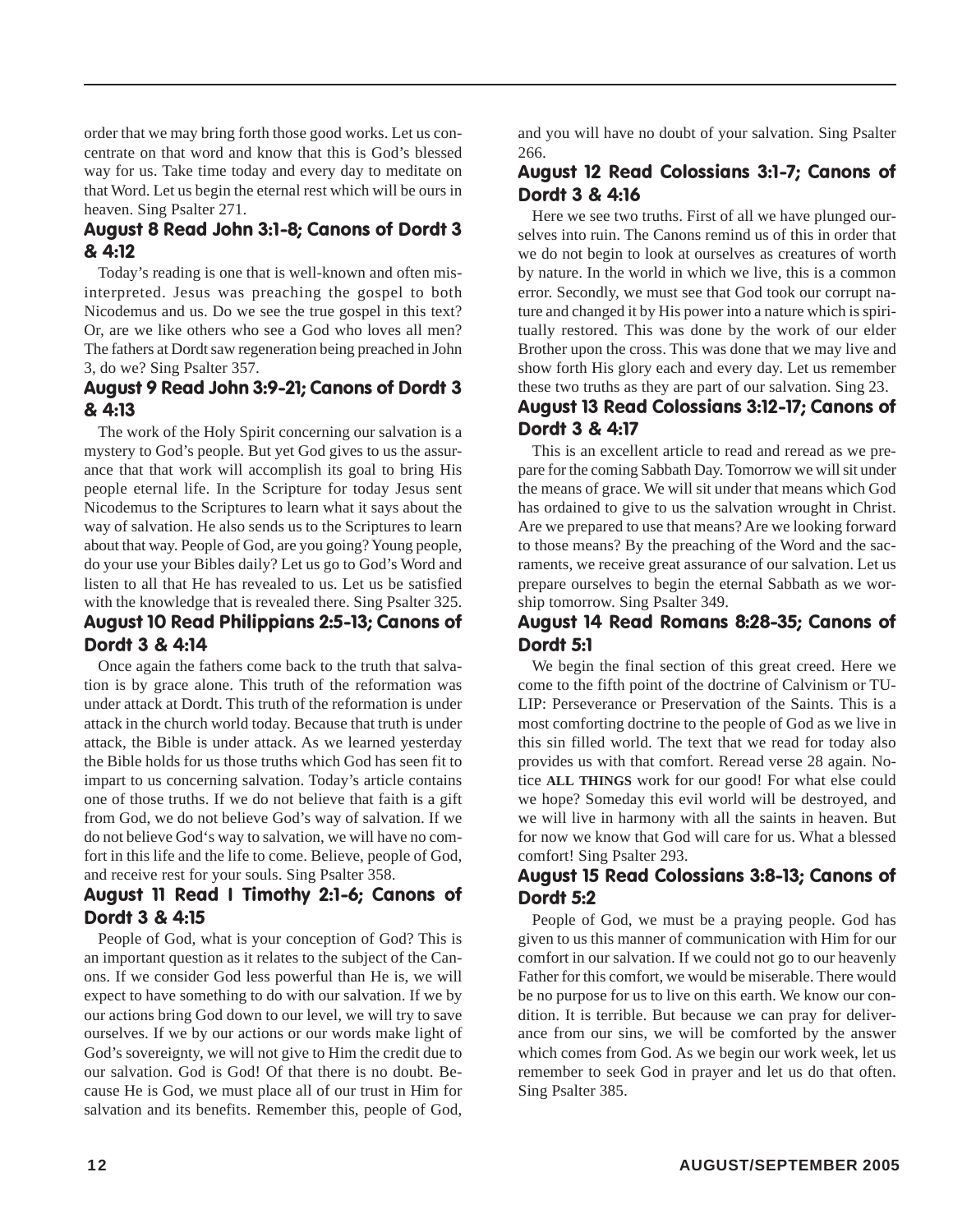order that we may bring forth those good works. Let us concentrate on that word and know that this is God's blessed way for us. Take time today and every day to meditate on that Word. Let us begin the eternal rest which will be ours in heaven. Sing Psalter 271.

#### August 8 Read John 3:1-8; Canons of Dordt 3 & 4:12

Today's reading is one that is well-known and often misinterpreted. Jesus was preaching the gospel to both Nicodemus and us. Do we see the true gospel in this text? Or, are we like others who see a God who loves all men? The fathers at Dordt saw regeneration being preached in John 3, do we? Sing Psalter 357.

#### August 9 Read John 3:9-21; Canons of Dordt 3 & 4:13

The work of the Holy Spirit concerning our salvation is a mystery to God's people. But yet God gives to us the assurance that that work will accomplish its goal to bring His people eternal life. In the Scripture for today Jesus sent Nicodemus to the Scriptures to learn what it says about the way of salvation. He also sends us to the Scriptures to learn about that way. People of God, are you going? Young people, do your use your Bibles daily? Let us go to God's Word and listen to all that He has revealed to us. Let us be satisfied with the knowledge that is revealed there. Sing Psalter 325. August 10 Read Philippians 2:5-13; Canons of Dordt 3 & 4:14

Once again the fathers come back to the truth that salvation is by grace alone. This truth of the reformation was under attack at Dordt. This truth of the reformation is under attack in the church world today. Because that truth is under attack, the Bible is under attack. As we learned yesterday the Bible holds for us those truths which God has seen fit to impart to us concerning salvation. Today's article contains one of those truths. If we do not believe that faith is a gift from God, we do not believe God's way of salvation. If we do not believe God's way to salvation, we will have no comfort in this life and the life to come. Believe, people of God, and receive rest for your souls. Sing Psalter 358.

#### August 11 Read I Timothy 2:1-6; Canons of Dordt 3 & 4:15

People of God, what is your conception of God? This is an important question as it relates to the subject of the Canons. If we consider God less powerful than He is, we will expect to have something to do with our salvation. If we by our actions bring God down to our level, we will try to save ourselves. If we by our actions or our words make light of God's sovereignty, we will not give to Him the credit due to our salvation. God is God! Of that there is no doubt. Because He is God, we must place all of our trust in Him for salvation and its benefits. Remember this, people of God,

and you will have no doubt of your salvation. Sing Psalter 266.

#### August 12 Read Colossians 3:1-7; Canons of Dordt 3 & 4:16

Here we see two truths. First of all we have plunged ourselves into ruin. The Canons remind us of this in order that we do not begin to look at ourselves as creatures of worth by nature. In the world in which we live, this is a common error. Secondly, we must see that God took our corrupt nature and changed it by His power into a nature which is spiritually restored. This was done by the work of our elder Brother upon the cross. This was done that we may live and show forth His glory each and every day. Let us remember these two truths as they are part of our salvation. Sing 23.

#### August 13 Read Colossians 3:12-17; Canons of Dordt 3 & 4:17

This is an excellent article to read and reread as we prepare for the coming Sabbath Day. Tomorrow we will sit under the means of grace. We will sit under that means which God has ordained to give to us the salvation wrought in Christ. Are we prepared to use that means? Are we looking forward to those means? By the preaching of the Word and the sacraments, we receive great assurance of our salvation. Let us prepare ourselves to begin the eternal Sabbath as we worship tomorrow. Sing Psalter 349.

#### August 14 Read Romans 8:28-35; Canons of Dordt 5:1

We begin the final section of this great creed. Here we come to the fifth point of the doctrine of Calvinism or TU-LIP: Perseverance or Preservation of the Saints. This is a most comforting doctrine to the people of God as we live in this sin filled world. The text that we read for today also provides us with that comfort. Reread verse 28 again. Notice **ALL THINGS** work for our good! For what else could we hope? Someday this evil world will be destroyed, and we will live in harmony with all the saints in heaven. But for now we know that God will care for us. What a blessed comfort! Sing Psalter 293.

#### August 15 Read Colossians 3:8-13; Canons of Dordt 5:2

People of God, we must be a praying people. God has given to us this manner of communication with Him for our comfort in our salvation. If we could not go to our heavenly Father for this comfort, we would be miserable. There would be no purpose for us to live on this earth. We know our condition. It is terrible. But because we can pray for deliverance from our sins, we will be comforted by the answer which comes from God. As we begin our work week, let us remember to seek God in prayer and let us do that often. Sing Psalter 385.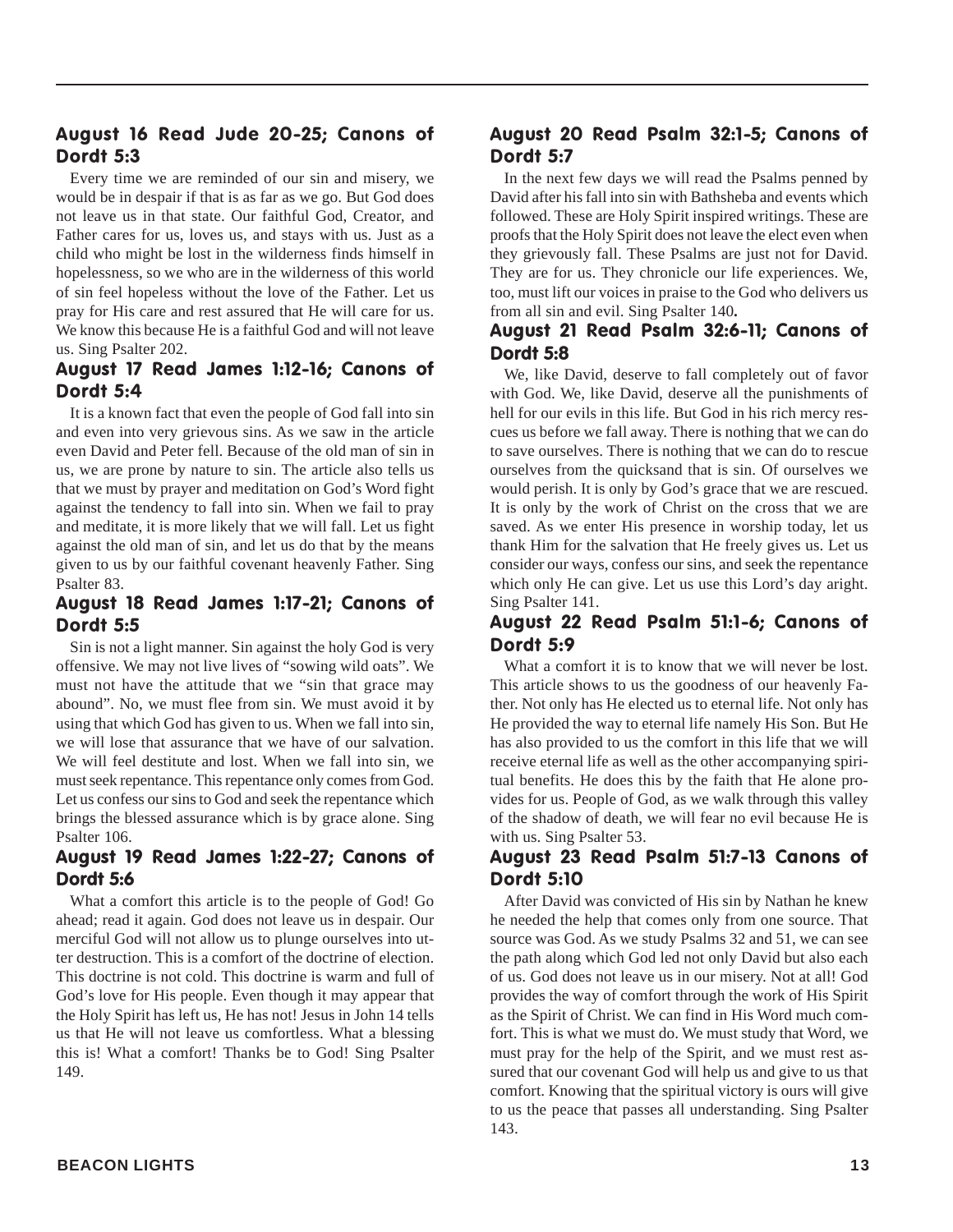#### August 16 Read Jude 20-25; Canons of Dordt 5:3

Every time we are reminded of our sin and misery, we would be in despair if that is as far as we go. But God does not leave us in that state. Our faithful God, Creator, and Father cares for us, loves us, and stays with us. Just as a child who might be lost in the wilderness finds himself in hopelessness, so we who are in the wilderness of this world of sin feel hopeless without the love of the Father. Let us pray for His care and rest assured that He will care for us. We know this because He is a faithful God and will not leave us. Sing Psalter 202.

#### August 17 Read James 1:12-16; Canons of Dordt 5:4

It is a known fact that even the people of God fall into sin and even into very grievous sins. As we saw in the article even David and Peter fell. Because of the old man of sin in us, we are prone by nature to sin. The article also tells us that we must by prayer and meditation on God's Word fight against the tendency to fall into sin. When we fail to pray and meditate, it is more likely that we will fall. Let us fight against the old man of sin, and let us do that by the means given to us by our faithful covenant heavenly Father. Sing Psalter 83.

#### August 18 Read James 1:17-21; Canons of Dordt 5:5

Sin is not a light manner. Sin against the holy God is very offensive. We may not live lives of "sowing wild oats". We must not have the attitude that we "sin that grace may abound". No, we must flee from sin. We must avoid it by using that which God has given to us. When we fall into sin, we will lose that assurance that we have of our salvation. We will feel destitute and lost. When we fall into sin, we must seek repentance. This repentance only comes from God. Let us confess our sins to God and seek the repentance which brings the blessed assurance which is by grace alone. Sing Psalter 106.

#### August 19 Read James 1:22-27; Canons of Dordt 5:6

What a comfort this article is to the people of God! Go ahead; read it again. God does not leave us in despair. Our merciful God will not allow us to plunge ourselves into utter destruction. This is a comfort of the doctrine of election. This doctrine is not cold. This doctrine is warm and full of God's love for His people. Even though it may appear that the Holy Spirit has left us, He has not! Jesus in John 14 tells us that He will not leave us comfortless. What a blessing this is! What a comfort! Thanks be to God! Sing Psalter 149.

#### August 20 Read Psalm 32:1-5; Canons of Dordt 5:7

In the next few days we will read the Psalms penned by David after his fall into sin with Bathsheba and events which followed. These are Holy Spirit inspired writings. These are proofs that the Holy Spirit does not leave the elect even when they grievously fall. These Psalms are just not for David. They are for us. They chronicle our life experiences. We, too, must lift our voices in praise to the God who delivers us from all sin and evil. Sing Psalter 140**.**

#### August 21 Read Psalm 32:6-11; Canons of Dordt 5:8

We, like David, deserve to fall completely out of favor with God. We, like David, deserve all the punishments of hell for our evils in this life. But God in his rich mercy rescues us before we fall away. There is nothing that we can do to save ourselves. There is nothing that we can do to rescue ourselves from the quicksand that is sin. Of ourselves we would perish. It is only by God's grace that we are rescued. It is only by the work of Christ on the cross that we are saved. As we enter His presence in worship today, let us thank Him for the salvation that He freely gives us. Let us consider our ways, confess our sins, and seek the repentance which only He can give. Let us use this Lord's day aright. Sing Psalter 141.

#### August 22 Read Psalm 51:1-6; Canons of Dordt 5:9

What a comfort it is to know that we will never be lost. This article shows to us the goodness of our heavenly Father. Not only has He elected us to eternal life. Not only has He provided the way to eternal life namely His Son. But He has also provided to us the comfort in this life that we will receive eternal life as well as the other accompanying spiritual benefits. He does this by the faith that He alone provides for us. People of God, as we walk through this valley of the shadow of death, we will fear no evil because He is with us. Sing Psalter 53.

#### August 23 Read Psalm 51:7-13 Canons of Dordt 5:10

After David was convicted of His sin by Nathan he knew he needed the help that comes only from one source. That source was God. As we study Psalms 32 and 51, we can see the path along which God led not only David but also each of us. God does not leave us in our misery. Not at all! God provides the way of comfort through the work of His Spirit as the Spirit of Christ. We can find in His Word much comfort. This is what we must do. We must study that Word, we must pray for the help of the Spirit, and we must rest assured that our covenant God will help us and give to us that comfort. Knowing that the spiritual victory is ours will give to us the peace that passes all understanding. Sing Psalter 143.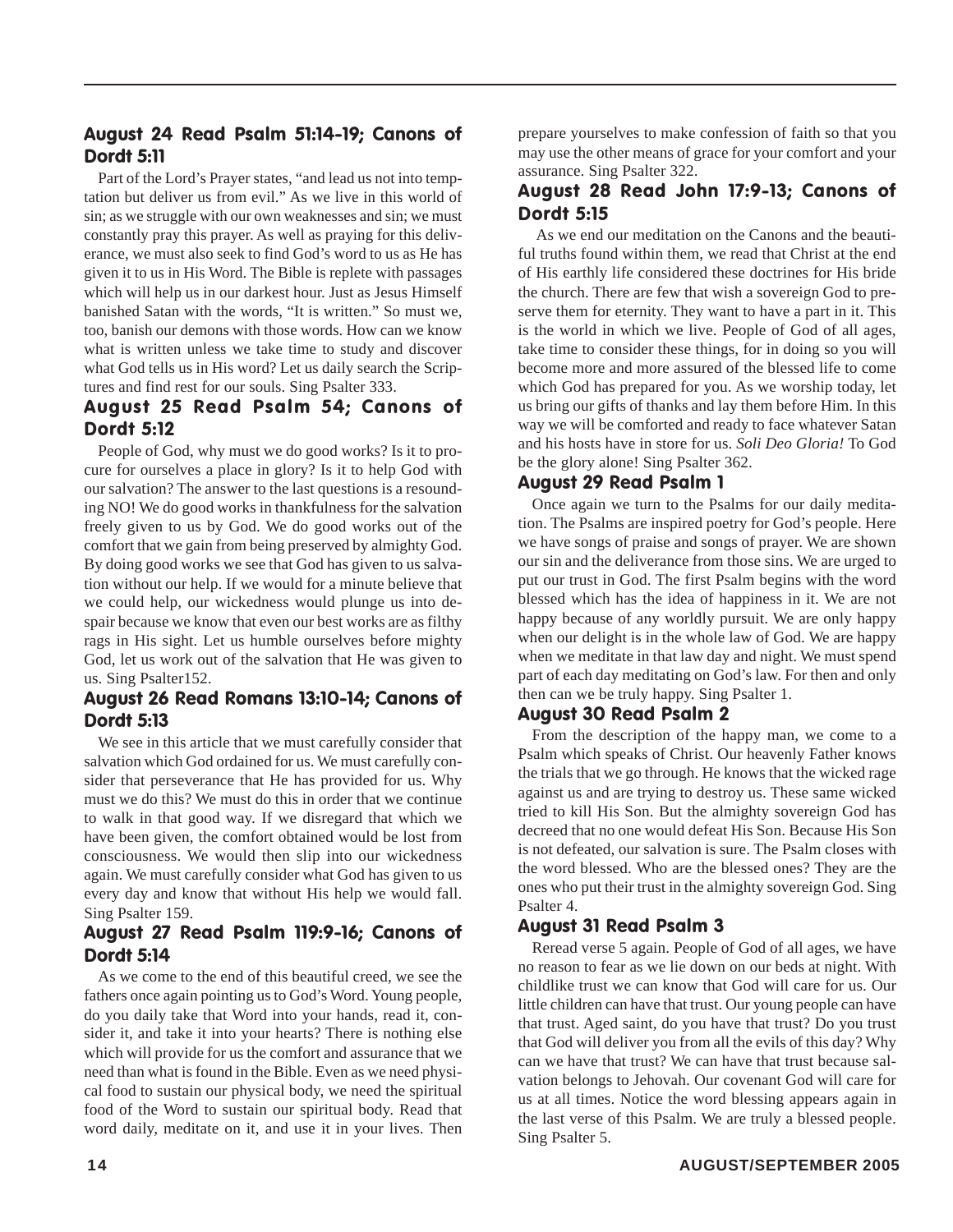#### August 24 Read Psalm 51:14-19; Canons of Dordt 5:11

Part of the Lord's Prayer states, "and lead us not into temptation but deliver us from evil." As we live in this world of sin; as we struggle with our own weaknesses and sin; we must constantly pray this prayer. As well as praying for this deliverance, we must also seek to find God's word to us as He has given it to us in His Word. The Bible is replete with passages which will help us in our darkest hour. Just as Jesus Himself banished Satan with the words, "It is written." So must we, too, banish our demons with those words. How can we know what is written unless we take time to study and discover what God tells us in His word? Let us daily search the Scriptures and find rest for our souls. Sing Psalter 333.

#### August 25 Read Psalm 54; Canons of Dordt 5:12

People of God, why must we do good works? Is it to procure for ourselves a place in glory? Is it to help God with our salvation? The answer to the last questions is a resounding NO! We do good works in thankfulness for the salvation freely given to us by God. We do good works out of the comfort that we gain from being preserved by almighty God. By doing good works we see that God has given to us salvation without our help. If we would for a minute believe that we could help, our wickedness would plunge us into despair because we know that even our best works are as filthy rags in His sight. Let us humble ourselves before mighty God, let us work out of the salvation that He was given to us. Sing Psalter152.

#### August 26 Read Romans 13:10-14; Canons of Dordt 5:13

We see in this article that we must carefully consider that salvation which God ordained for us. We must carefully consider that perseverance that He has provided for us. Why must we do this? We must do this in order that we continue to walk in that good way. If we disregard that which we have been given, the comfort obtained would be lost from consciousness. We would then slip into our wickedness again. We must carefully consider what God has given to us every day and know that without His help we would fall. Sing Psalter 159.

#### August 27 Read Psalm 119:9-16; Canons of Dordt 5:14

As we come to the end of this beautiful creed, we see the fathers once again pointing us to God's Word. Young people, do you daily take that Word into your hands, read it, consider it, and take it into your hearts? There is nothing else which will provide for us the comfort and assurance that we need than what is found in the Bible. Even as we need physical food to sustain our physical body, we need the spiritual food of the Word to sustain our spiritual body. Read that word daily, meditate on it, and use it in your lives. Then

prepare yourselves to make confession of faith so that you may use the other means of grace for your comfort and your assurance. Sing Psalter 322.

#### August 28 Read John 17:9-13; Canons of Dordt 5:15

As we end our meditation on the Canons and the beautiful truths found within them, we read that Christ at the end of His earthly life considered these doctrines for His bride the church. There are few that wish a sovereign God to preserve them for eternity. They want to have a part in it. This is the world in which we live. People of God of all ages, take time to consider these things, for in doing so you will become more and more assured of the blessed life to come which God has prepared for you. As we worship today, let us bring our gifts of thanks and lay them before Him. In this way we will be comforted and ready to face whatever Satan and his hosts have in store for us. *Soli Deo Gloria!* To God be the glory alone! Sing Psalter 362.

#### August 29 Read Psalm 1

Once again we turn to the Psalms for our daily meditation. The Psalms are inspired poetry for God's people. Here we have songs of praise and songs of prayer. We are shown our sin and the deliverance from those sins. We are urged to put our trust in God. The first Psalm begins with the word blessed which has the idea of happiness in it. We are not happy because of any worldly pursuit. We are only happy when our delight is in the whole law of God. We are happy when we meditate in that law day and night. We must spend part of each day meditating on God's law. For then and only then can we be truly happy. Sing Psalter 1.

#### August 30 Read Psalm 2

From the description of the happy man, we come to a Psalm which speaks of Christ. Our heavenly Father knows the trials that we go through. He knows that the wicked rage against us and are trying to destroy us. These same wicked tried to kill His Son. But the almighty sovereign God has decreed that no one would defeat His Son. Because His Son is not defeated, our salvation is sure. The Psalm closes with the word blessed. Who are the blessed ones? They are the ones who put their trust in the almighty sovereign God. Sing Psalter 4.

#### August 31 Read Psalm 3

Reread verse 5 again. People of God of all ages, we have no reason to fear as we lie down on our beds at night. With childlike trust we can know that God will care for us. Our little children can have that trust. Our young people can have that trust. Aged saint, do you have that trust? Do you trust that God will deliver you from all the evils of this day? Why can we have that trust? We can have that trust because salvation belongs to Jehovah. Our covenant God will care for us at all times. Notice the word blessing appears again in the last verse of this Psalm. We are truly a blessed people. Sing Psalter 5.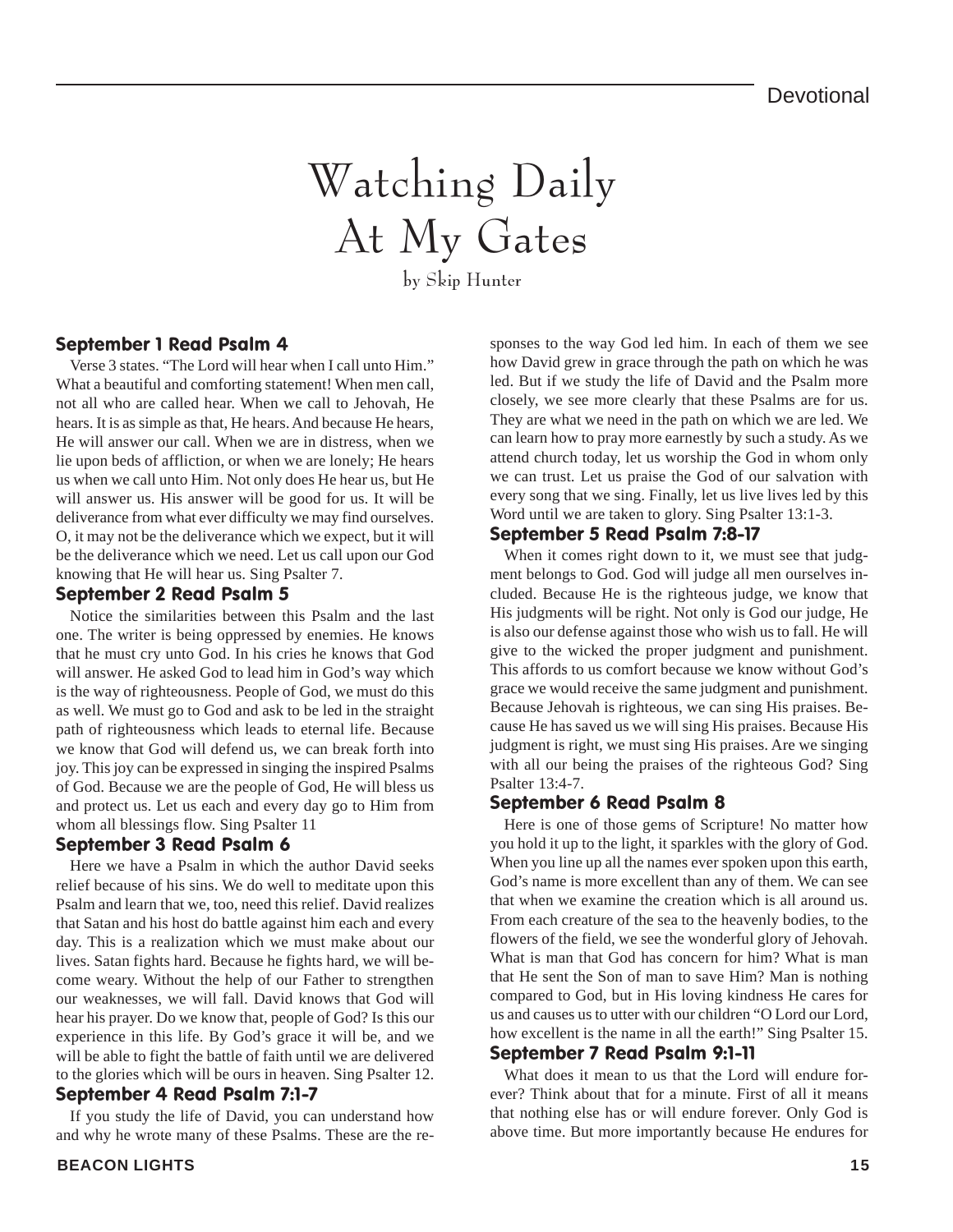## Watching Daily At My Gates

by Skip Hunter

#### September 1 Read Psalm 4

Verse 3 states. "The Lord will hear when I call unto Him." What a beautiful and comforting statement! When men call, not all who are called hear. When we call to Jehovah, He hears. It is as simple as that, He hears. And because He hears, He will answer our call. When we are in distress, when we lie upon beds of affliction, or when we are lonely; He hears us when we call unto Him. Not only does He hear us, but He will answer us. His answer will be good for us. It will be deliverance from what ever difficulty we may find ourselves. O, it may not be the deliverance which we expect, but it will be the deliverance which we need. Let us call upon our God knowing that He will hear us. Sing Psalter 7.

#### September 2 Read Psalm 5

Notice the similarities between this Psalm and the last one. The writer is being oppressed by enemies. He knows that he must cry unto God. In his cries he knows that God will answer. He asked God to lead him in God's way which is the way of righteousness. People of God, we must do this as well. We must go to God and ask to be led in the straight path of righteousness which leads to eternal life. Because we know that God will defend us, we can break forth into joy. This joy can be expressed in singing the inspired Psalms of God. Because we are the people of God, He will bless us and protect us. Let us each and every day go to Him from whom all blessings flow. Sing Psalter 11

#### September 3 Read Psalm 6

Here we have a Psalm in which the author David seeks relief because of his sins. We do well to meditate upon this Psalm and learn that we, too, need this relief. David realizes that Satan and his host do battle against him each and every day. This is a realization which we must make about our lives. Satan fights hard. Because he fights hard, we will become weary. Without the help of our Father to strengthen our weaknesses, we will fall. David knows that God will hear his prayer. Do we know that, people of God? Is this our experience in this life. By God's grace it will be, and we will be able to fight the battle of faith until we are delivered to the glories which will be ours in heaven. Sing Psalter 12. September 4 Read Psalm 7:1-7

If you study the life of David, you can understand how and why he wrote many of these Psalms. These are the responses to the way God led him. In each of them we see how David grew in grace through the path on which he was led. But if we study the life of David and the Psalm more closely, we see more clearly that these Psalms are for us. They are what we need in the path on which we are led. We can learn how to pray more earnestly by such a study. As we attend church today, let us worship the God in whom only we can trust. Let us praise the God of our salvation with every song that we sing. Finally, let us live lives led by this Word until we are taken to glory. Sing Psalter 13:1-3.

#### September 5 Read Psalm 7:8-17

When it comes right down to it, we must see that judgment belongs to God. God will judge all men ourselves included. Because He is the righteous judge, we know that His judgments will be right. Not only is God our judge, He is also our defense against those who wish us to fall. He will give to the wicked the proper judgment and punishment. This affords to us comfort because we know without God's grace we would receive the same judgment and punishment. Because Jehovah is righteous, we can sing His praises. Because He has saved us we will sing His praises. Because His judgment is right, we must sing His praises. Are we singing with all our being the praises of the righteous God? Sing Psalter 13:4-7.

#### September 6 Read Psalm 8

Here is one of those gems of Scripture! No matter how you hold it up to the light, it sparkles with the glory of God. When you line up all the names ever spoken upon this earth, God's name is more excellent than any of them. We can see that when we examine the creation which is all around us. From each creature of the sea to the heavenly bodies, to the flowers of the field, we see the wonderful glory of Jehovah. What is man that God has concern for him? What is man that He sent the Son of man to save Him? Man is nothing compared to God, but in His loving kindness He cares for us and causes us to utter with our children "O Lord our Lord, how excellent is the name in all the earth!" Sing Psalter 15.

#### September 7 Read Psalm 9:1-11

What does it mean to us that the Lord will endure forever? Think about that for a minute. First of all it means that nothing else has or will endure forever. Only God is above time. But more importantly because He endures for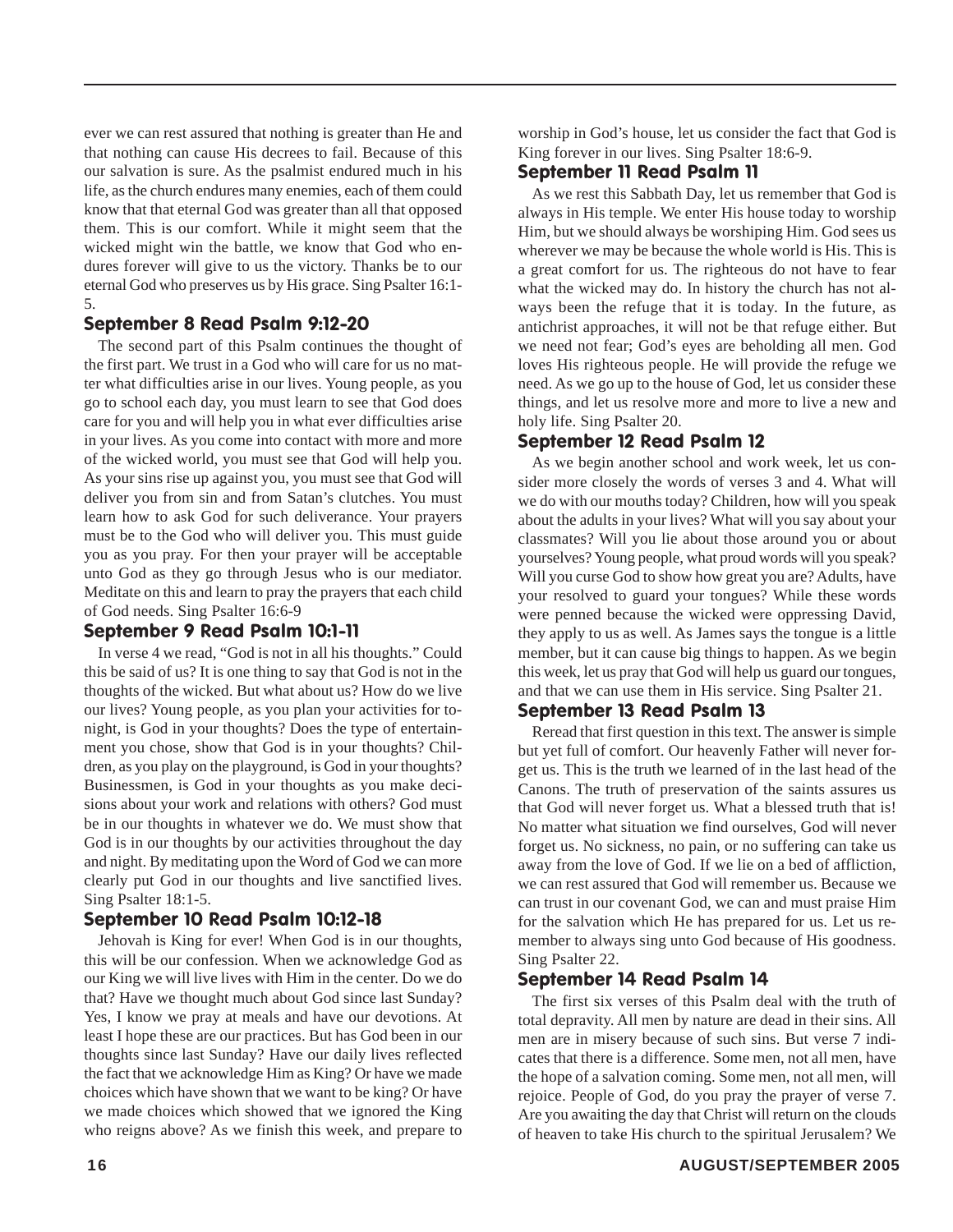ever we can rest assured that nothing is greater than He and that nothing can cause His decrees to fail. Because of this our salvation is sure. As the psalmist endured much in his life, as the church endures many enemies, each of them could know that that eternal God was greater than all that opposed them. This is our comfort. While it might seem that the wicked might win the battle, we know that God who endures forever will give to us the victory. Thanks be to our eternal God who preserves us by His grace. Sing Psalter 16:1- 5.

#### September 8 Read Psalm 9:12-20

The second part of this Psalm continues the thought of the first part. We trust in a God who will care for us no matter what difficulties arise in our lives. Young people, as you go to school each day, you must learn to see that God does care for you and will help you in what ever difficulties arise in your lives. As you come into contact with more and more of the wicked world, you must see that God will help you. As your sins rise up against you, you must see that God will deliver you from sin and from Satan's clutches. You must learn how to ask God for such deliverance. Your prayers must be to the God who will deliver you. This must guide you as you pray. For then your prayer will be acceptable unto God as they go through Jesus who is our mediator. Meditate on this and learn to pray the prayers that each child of God needs. Sing Psalter 16:6-9

#### September 9 Read Psalm 10:1-11

In verse 4 we read, "God is not in all his thoughts." Could this be said of us? It is one thing to say that God is not in the thoughts of the wicked. But what about us? How do we live our lives? Young people, as you plan your activities for tonight, is God in your thoughts? Does the type of entertainment you chose, show that God is in your thoughts? Children, as you play on the playground, is God in your thoughts? Businessmen, is God in your thoughts as you make decisions about your work and relations with others? God must be in our thoughts in whatever we do. We must show that God is in our thoughts by our activities throughout the day and night. By meditating upon the Word of God we can more clearly put God in our thoughts and live sanctified lives. Sing Psalter 18:1-5.

#### September 10 Read Psalm 10:12-18

Jehovah is King for ever! When God is in our thoughts, this will be our confession. When we acknowledge God as our King we will live lives with Him in the center. Do we do that? Have we thought much about God since last Sunday? Yes, I know we pray at meals and have our devotions. At least I hope these are our practices. But has God been in our thoughts since last Sunday? Have our daily lives reflected the fact that we acknowledge Him as King? Or have we made choices which have shown that we want to be king? Or have we made choices which showed that we ignored the King who reigns above? As we finish this week, and prepare to

worship in God's house, let us consider the fact that God is King forever in our lives. Sing Psalter 18:6-9.

#### September 11 Read Psalm 11

As we rest this Sabbath Day, let us remember that God is always in His temple. We enter His house today to worship Him, but we should always be worshiping Him. God sees us wherever we may be because the whole world is His. This is a great comfort for us. The righteous do not have to fear what the wicked may do. In history the church has not always been the refuge that it is today. In the future, as antichrist approaches, it will not be that refuge either. But we need not fear; God's eyes are beholding all men. God loves His righteous people. He will provide the refuge we need. As we go up to the house of God, let us consider these things, and let us resolve more and more to live a new and holy life. Sing Psalter 20.

#### September 12 Read Psalm 12

As we begin another school and work week, let us consider more closely the words of verses 3 and 4. What will we do with our mouths today? Children, how will you speak about the adults in your lives? What will you say about your classmates? Will you lie about those around you or about yourselves? Young people, what proud words will you speak? Will you curse God to show how great you are? Adults, have your resolved to guard your tongues? While these words were penned because the wicked were oppressing David, they apply to us as well. As James says the tongue is a little member, but it can cause big things to happen. As we begin this week, let us pray that God will help us guard our tongues, and that we can use them in His service. Sing Psalter 21.

#### September 13 Read Psalm 13

Reread that first question in this text. The answer is simple but yet full of comfort. Our heavenly Father will never forget us. This is the truth we learned of in the last head of the Canons. The truth of preservation of the saints assures us that God will never forget us. What a blessed truth that is! No matter what situation we find ourselves, God will never forget us. No sickness, no pain, or no suffering can take us away from the love of God. If we lie on a bed of affliction, we can rest assured that God will remember us. Because we can trust in our covenant God, we can and must praise Him for the salvation which He has prepared for us. Let us remember to always sing unto God because of His goodness. Sing Psalter 22.

#### September 14 Read Psalm 14

The first six verses of this Psalm deal with the truth of total depravity. All men by nature are dead in their sins. All men are in misery because of such sins. But verse 7 indicates that there is a difference. Some men, not all men, have the hope of a salvation coming. Some men, not all men, will rejoice. People of God, do you pray the prayer of verse 7. Are you awaiting the day that Christ will return on the clouds of heaven to take His church to the spiritual Jerusalem? We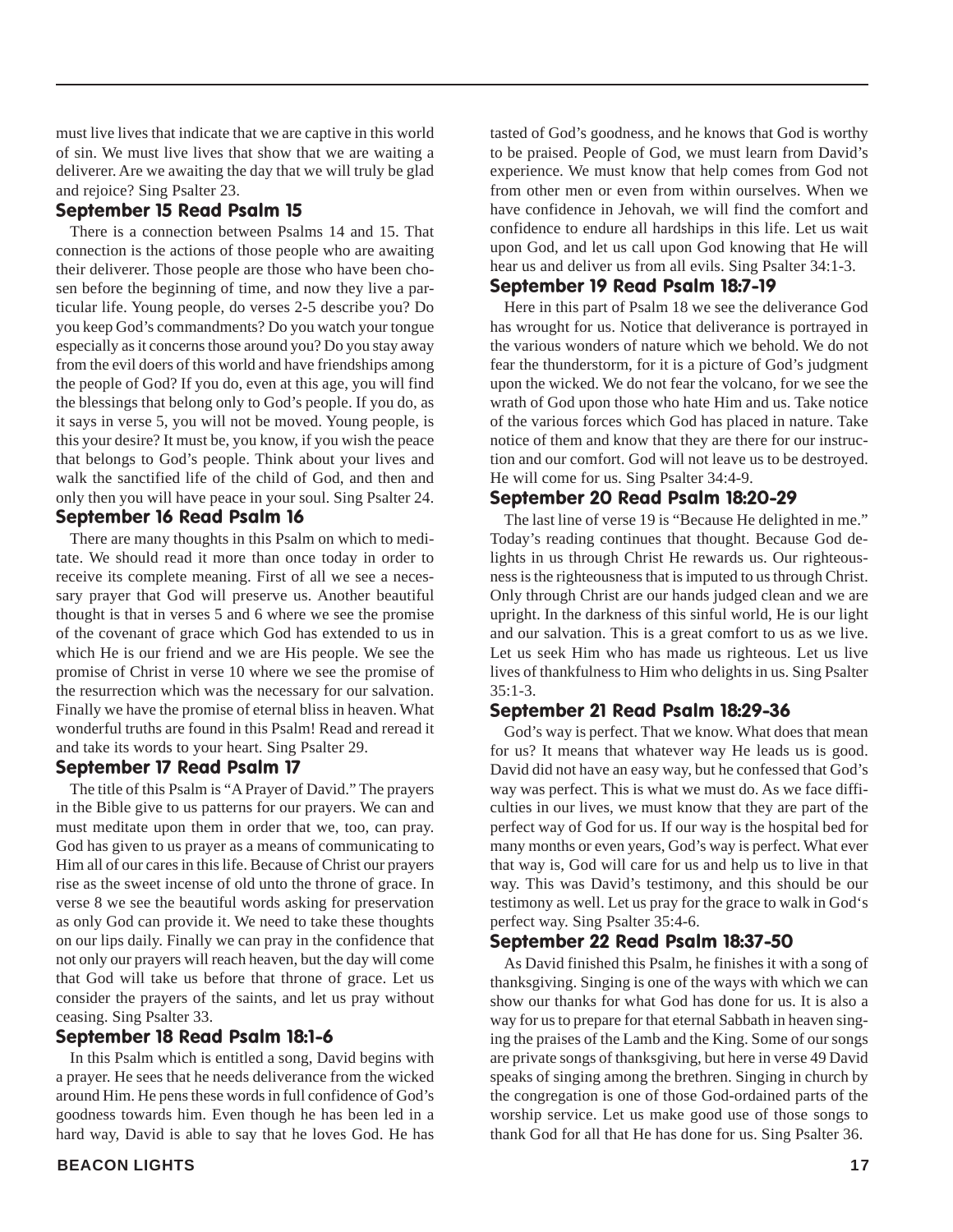must live lives that indicate that we are captive in this world of sin. We must live lives that show that we are waiting a deliverer. Are we awaiting the day that we will truly be glad and rejoice? Sing Psalter 23.

#### September 15 Read Psalm 15

There is a connection between Psalms 14 and 15. That connection is the actions of those people who are awaiting their deliverer. Those people are those who have been chosen before the beginning of time, and now they live a particular life. Young people, do verses 2-5 describe you? Do you keep God's commandments? Do you watch your tongue especially as it concerns those around you? Do you stay away from the evil doers of this world and have friendships among the people of God? If you do, even at this age, you will find the blessings that belong only to God's people. If you do, as it says in verse 5, you will not be moved. Young people, is this your desire? It must be, you know, if you wish the peace that belongs to God's people. Think about your lives and walk the sanctified life of the child of God, and then and only then you will have peace in your soul. Sing Psalter 24. September 16 Read Psalm 16

There are many thoughts in this Psalm on which to meditate. We should read it more than once today in order to receive its complete meaning. First of all we see a necessary prayer that God will preserve us. Another beautiful thought is that in verses 5 and 6 where we see the promise of the covenant of grace which God has extended to us in which He is our friend and we are His people. We see the promise of Christ in verse 10 where we see the promise of the resurrection which was the necessary for our salvation. Finally we have the promise of eternal bliss in heaven. What wonderful truths are found in this Psalm! Read and reread it and take its words to your heart. Sing Psalter 29.

#### September 17 Read Psalm 17

The title of this Psalm is "A Prayer of David." The prayers in the Bible give to us patterns for our prayers. We can and must meditate upon them in order that we, too, can pray. God has given to us prayer as a means of communicating to Him all of our cares in this life. Because of Christ our prayers rise as the sweet incense of old unto the throne of grace. In verse 8 we see the beautiful words asking for preservation as only God can provide it. We need to take these thoughts on our lips daily. Finally we can pray in the confidence that not only our prayers will reach heaven, but the day will come that God will take us before that throne of grace. Let us consider the prayers of the saints, and let us pray without ceasing. Sing Psalter 33.

#### September 18 Read Psalm 18:1-6

In this Psalm which is entitled a song, David begins with a prayer. He sees that he needs deliverance from the wicked around Him. He pens these words in full confidence of God's goodness towards him. Even though he has been led in a hard way, David is able to say that he loves God. He has

tasted of God's goodness, and he knows that God is worthy to be praised. People of God, we must learn from David's experience. We must know that help comes from God not from other men or even from within ourselves. When we have confidence in Jehovah, we will find the comfort and confidence to endure all hardships in this life. Let us wait upon God, and let us call upon God knowing that He will hear us and deliver us from all evils. Sing Psalter 34:1-3.

#### September 19 Read Psalm 18:7-19

Here in this part of Psalm 18 we see the deliverance God has wrought for us. Notice that deliverance is portrayed in the various wonders of nature which we behold. We do not fear the thunderstorm, for it is a picture of God's judgment upon the wicked. We do not fear the volcano, for we see the wrath of God upon those who hate Him and us. Take notice of the various forces which God has placed in nature. Take notice of them and know that they are there for our instruction and our comfort. God will not leave us to be destroyed. He will come for us. Sing Psalter 34:4-9.

#### September 20 Read Psalm 18:20-29

The last line of verse 19 is "Because He delighted in me." Today's reading continues that thought. Because God delights in us through Christ He rewards us. Our righteousness is the righteousness that is imputed to us through Christ. Only through Christ are our hands judged clean and we are upright. In the darkness of this sinful world, He is our light and our salvation. This is a great comfort to us as we live. Let us seek Him who has made us righteous. Let us live lives of thankfulness to Him who delights in us. Sing Psalter 35:1-3.

#### September 21 Read Psalm 18:29-36

God's way is perfect. That we know. What does that mean for us? It means that whatever way He leads us is good. David did not have an easy way, but he confessed that God's way was perfect. This is what we must do. As we face difficulties in our lives, we must know that they are part of the perfect way of God for us. If our way is the hospital bed for many months or even years, God's way is perfect. What ever that way is, God will care for us and help us to live in that way. This was David's testimony, and this should be our testimony as well. Let us pray for the grace to walk in God's perfect way. Sing Psalter 35:4-6.

#### September 22 Read Psalm 18:37-50

As David finished this Psalm, he finishes it with a song of thanksgiving. Singing is one of the ways with which we can show our thanks for what God has done for us. It is also a way for us to prepare for that eternal Sabbath in heaven singing the praises of the Lamb and the King. Some of our songs are private songs of thanksgiving, but here in verse 49 David speaks of singing among the brethren. Singing in church by the congregation is one of those God-ordained parts of the worship service. Let us make good use of those songs to thank God for all that He has done for us. Sing Psalter 36.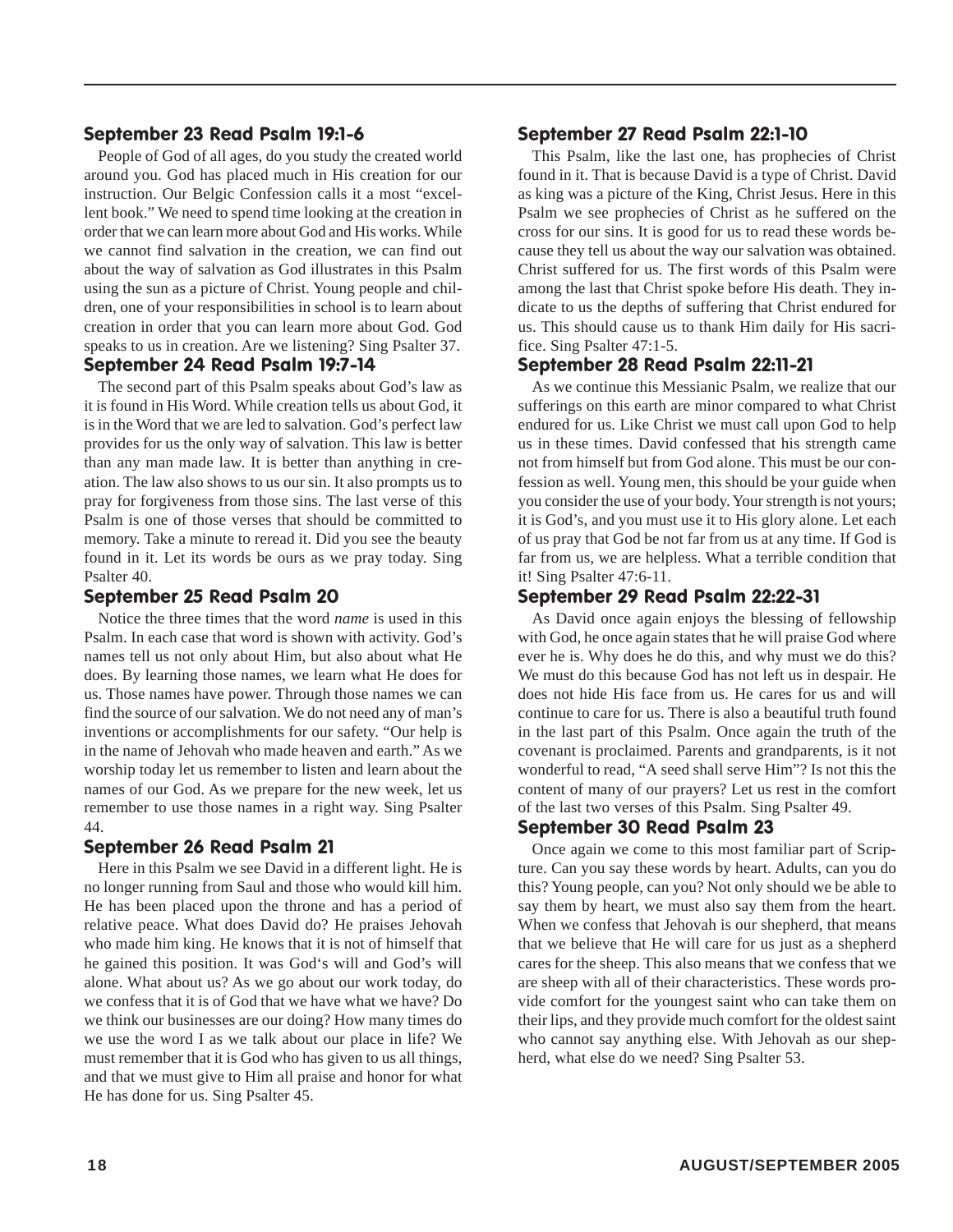#### September 23 Read Psalm 19:1-6

People of God of all ages, do you study the created world around you. God has placed much in His creation for our instruction. Our Belgic Confession calls it a most "excellent book." We need to spend time looking at the creation in order that we can learn more about God and His works. While we cannot find salvation in the creation, we can find out about the way of salvation as God illustrates in this Psalm using the sun as a picture of Christ. Young people and children, one of your responsibilities in school is to learn about creation in order that you can learn more about God. God speaks to us in creation. Are we listening? Sing Psalter 37.

#### September 24 Read Psalm 19:7-14

The second part of this Psalm speaks about God's law as it is found in His Word. While creation tells us about God, it is in the Word that we are led to salvation. God's perfect law provides for us the only way of salvation. This law is better than any man made law. It is better than anything in creation. The law also shows to us our sin. It also prompts us to pray for forgiveness from those sins. The last verse of this Psalm is one of those verses that should be committed to memory. Take a minute to reread it. Did you see the beauty found in it. Let its words be ours as we pray today. Sing Psalter 40.

#### September 25 Read Psalm 20

Notice the three times that the word *name* is used in this Psalm. In each case that word is shown with activity. God's names tell us not only about Him, but also about what He does. By learning those names, we learn what He does for us. Those names have power. Through those names we can find the source of our salvation. We do not need any of man's inventions or accomplishments for our safety. "Our help is in the name of Jehovah who made heaven and earth." As we worship today let us remember to listen and learn about the names of our God. As we prepare for the new week, let us remember to use those names in a right way. Sing Psalter 44.

#### September 26 Read Psalm 21

Here in this Psalm we see David in a different light. He is no longer running from Saul and those who would kill him. He has been placed upon the throne and has a period of relative peace. What does David do? He praises Jehovah who made him king. He knows that it is not of himself that he gained this position. It was God's will and God's will alone. What about us? As we go about our work today, do we confess that it is of God that we have what we have? Do we think our businesses are our doing? How many times do we use the word I as we talk about our place in life? We must remember that it is God who has given to us all things, and that we must give to Him all praise and honor for what He has done for us. Sing Psalter 45.

#### September 27 Read Psalm 22:1-10

This Psalm, like the last one, has prophecies of Christ found in it. That is because David is a type of Christ. David as king was a picture of the King, Christ Jesus. Here in this Psalm we see prophecies of Christ as he suffered on the cross for our sins. It is good for us to read these words because they tell us about the way our salvation was obtained. Christ suffered for us. The first words of this Psalm were among the last that Christ spoke before His death. They indicate to us the depths of suffering that Christ endured for us. This should cause us to thank Him daily for His sacrifice. Sing Psalter 47:1-5.

#### September 28 Read Psalm 22:11-21

As we continue this Messianic Psalm, we realize that our sufferings on this earth are minor compared to what Christ endured for us. Like Christ we must call upon God to help us in these times. David confessed that his strength came not from himself but from God alone. This must be our confession as well. Young men, this should be your guide when you consider the use of your body. Your strength is not yours; it is God's, and you must use it to His glory alone. Let each of us pray that God be not far from us at any time. If God is far from us, we are helpless. What a terrible condition that it! Sing Psalter 47:6-11.

#### September 29 Read Psalm 22:22-31

As David once again enjoys the blessing of fellowship with God, he once again states that he will praise God where ever he is. Why does he do this, and why must we do this? We must do this because God has not left us in despair. He does not hide His face from us. He cares for us and will continue to care for us. There is also a beautiful truth found in the last part of this Psalm. Once again the truth of the covenant is proclaimed. Parents and grandparents, is it not wonderful to read, "A seed shall serve Him"? Is not this the content of many of our prayers? Let us rest in the comfort of the last two verses of this Psalm. Sing Psalter 49.

#### September 30 Read Psalm 23

Once again we come to this most familiar part of Scripture. Can you say these words by heart. Adults, can you do this? Young people, can you? Not only should we be able to say them by heart, we must also say them from the heart. When we confess that Jehovah is our shepherd, that means that we believe that He will care for us just as a shepherd cares for the sheep. This also means that we confess that we are sheep with all of their characteristics. These words provide comfort for the youngest saint who can take them on their lips, and they provide much comfort for the oldest saint who cannot say anything else. With Jehovah as our shepherd, what else do we need? Sing Psalter 53.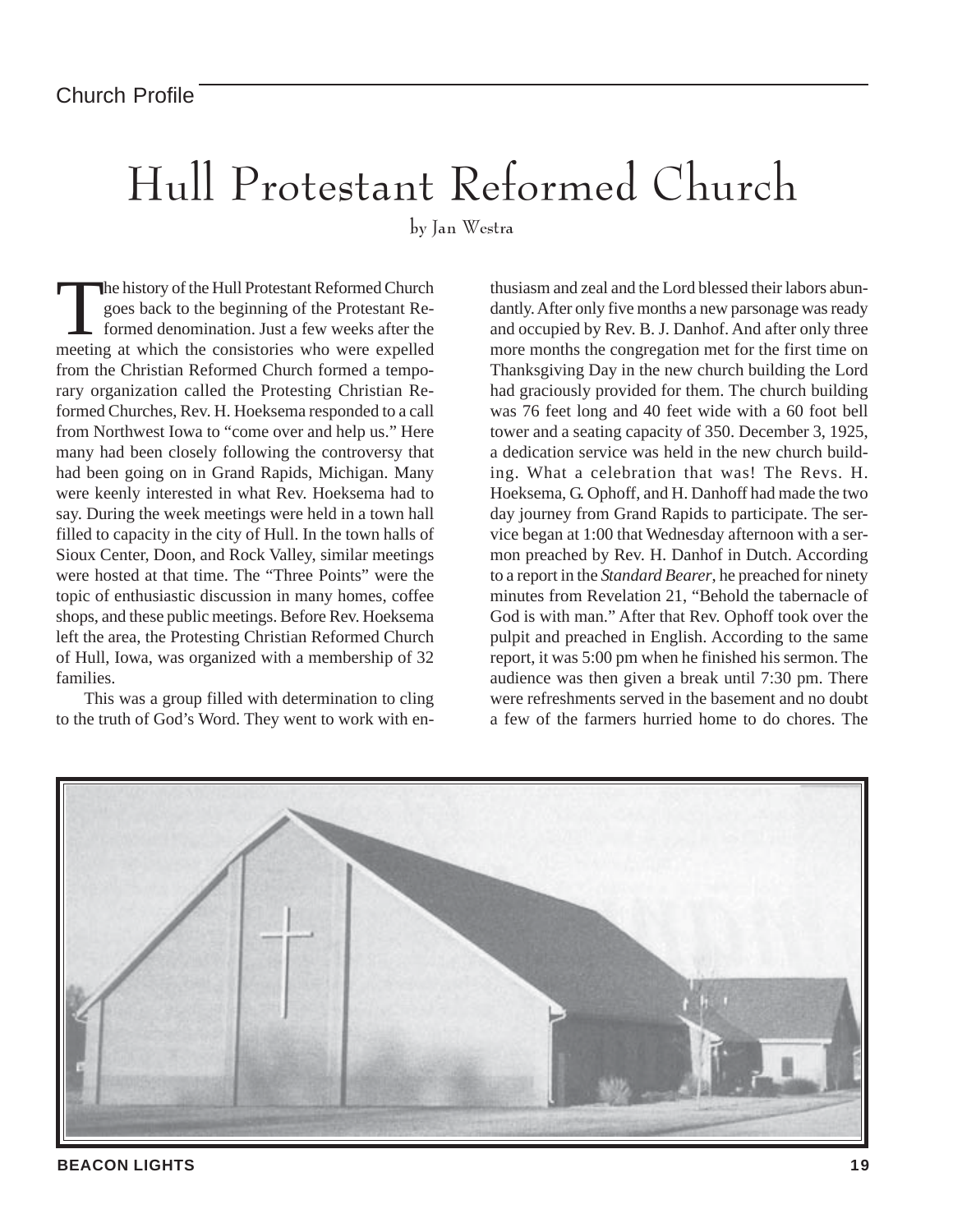## Hull Protestant Reformed Church

by Jan Westra

The history of the Hull Protestant Reformed Church<br>goes back to the beginning of the Protestant Reformed denomination. Just a few weeks after the<br>meeting at which the consisteries who were expelled goes back to the beginning of the Protestant Reformed denomination. Just a few weeks after the meeting at which the consistories who were expelled from the Christian Reformed Church formed a temporary organization called the Protesting Christian Reformed Churches, Rev. H. Hoeksema responded to a call from Northwest Iowa to "come over and help us." Here many had been closely following the controversy that had been going on in Grand Rapids, Michigan. Many were keenly interested in what Rev. Hoeksema had to say. During the week meetings were held in a town hall filled to capacity in the city of Hull. In the town halls of Sioux Center, Doon, and Rock Valley, similar meetings were hosted at that time. The "Three Points" were the topic of enthusiastic discussion in many homes, coffee shops, and these public meetings. Before Rev. Hoeksema left the area, the Protesting Christian Reformed Church of Hull, Iowa, was organized with a membership of 32 families.

This was a group filled with determination to cling to the truth of God's Word. They went to work with enthusiasm and zeal and the Lord blessed their labors abundantly. After only five months a new parsonage was ready and occupied by Rev. B. J. Danhof. And after only three more months the congregation met for the first time on Thanksgiving Day in the new church building the Lord had graciously provided for them. The church building was 76 feet long and 40 feet wide with a 60 foot bell tower and a seating capacity of 350. December 3, 1925, a dedication service was held in the new church building. What a celebration that was! The Revs. H. Hoeksema, G. Ophoff, and H. Danhoff had made the two day journey from Grand Rapids to participate. The service began at 1:00 that Wednesday afternoon with a sermon preached by Rev. H. Danhof in Dutch. According to a report in the *Standard Bearer*, he preached for ninety minutes from Revelation 21, "Behold the tabernacle of God is with man." After that Rev. Ophoff took over the pulpit and preached in English. According to the same report, it was 5:00 pm when he finished his sermon. The audience was then given a break until 7:30 pm. There were refreshments served in the basement and no doubt a few of the farmers hurried home to do chores. The



**BEACON LIGHTS 19**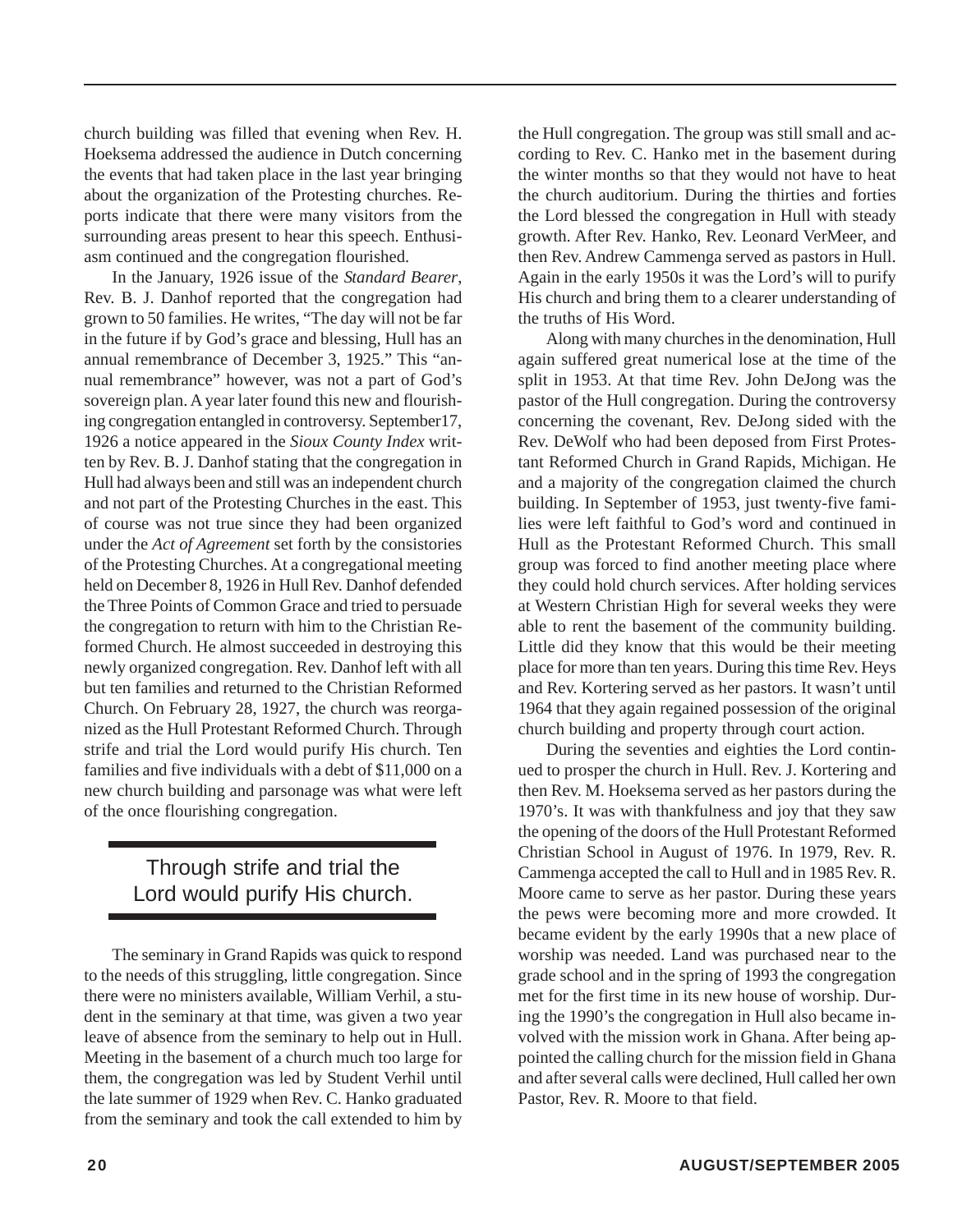church building was filled that evening when Rev. H. Hoeksema addressed the audience in Dutch concerning the events that had taken place in the last year bringing about the organization of the Protesting churches. Reports indicate that there were many visitors from the surrounding areas present to hear this speech. Enthusiasm continued and the congregation flourished.

In the January, 1926 issue of the *Standard Bearer*, Rev. B. J. Danhof reported that the congregation had grown to 50 families. He writes, "The day will not be far in the future if by God's grace and blessing, Hull has an annual remembrance of December 3, 1925." This "annual remembrance" however, was not a part of God's sovereign plan. A year later found this new and flourishing congregation entangled in controversy. September17, 1926 a notice appeared in the *Sioux County Index* written by Rev. B. J. Danhof stating that the congregation in Hull had always been and still was an independent church and not part of the Protesting Churches in the east. This of course was not true since they had been organized under the *Act of Agreement* set forth by the consistories of the Protesting Churches. At a congregational meeting held on December 8, 1926 in Hull Rev. Danhof defended the Three Points of Common Grace and tried to persuade the congregation to return with him to the Christian Reformed Church. He almost succeeded in destroying this newly organized congregation. Rev. Danhof left with all but ten families and returned to the Christian Reformed Church. On February 28, 1927, the church was reorganized as the Hull Protestant Reformed Church. Through strife and trial the Lord would purify His church. Ten families and five individuals with a debt of \$11,000 on a new church building and parsonage was what were left of the once flourishing congregation.

#### Through strife and trial the Lord would purify His church.

The seminary in Grand Rapids was quick to respond to the needs of this struggling, little congregation. Since there were no ministers available, William Verhil, a student in the seminary at that time, was given a two year leave of absence from the seminary to help out in Hull. Meeting in the basement of a church much too large for them, the congregation was led by Student Verhil until the late summer of 1929 when Rev. C. Hanko graduated from the seminary and took the call extended to him by

the Hull congregation. The group was still small and according to Rev. C. Hanko met in the basement during the winter months so that they would not have to heat the church auditorium. During the thirties and forties the Lord blessed the congregation in Hull with steady growth. After Rev. Hanko, Rev. Leonard VerMeer, and then Rev. Andrew Cammenga served as pastors in Hull. Again in the early 1950s it was the Lord's will to purify His church and bring them to a clearer understanding of the truths of His Word.

Along with many churches in the denomination, Hull again suffered great numerical lose at the time of the split in 1953. At that time Rev. John DeJong was the pastor of the Hull congregation. During the controversy concerning the covenant, Rev. DeJong sided with the Rev. DeWolf who had been deposed from First Protestant Reformed Church in Grand Rapids, Michigan. He and a majority of the congregation claimed the church building. In September of 1953, just twenty-five families were left faithful to God's word and continued in Hull as the Protestant Reformed Church. This small group was forced to find another meeting place where they could hold church services. After holding services at Western Christian High for several weeks they were able to rent the basement of the community building. Little did they know that this would be their meeting place for more than ten years. During this time Rev. Heys and Rev. Kortering served as her pastors. It wasn't until 1964 that they again regained possession of the original church building and property through court action.

During the seventies and eighties the Lord continued to prosper the church in Hull. Rev. J. Kortering and then Rev. M. Hoeksema served as her pastors during the 1970's. It was with thankfulness and joy that they saw the opening of the doors of the Hull Protestant Reformed Christian School in August of 1976. In 1979, Rev. R. Cammenga accepted the call to Hull and in 1985 Rev. R. Moore came to serve as her pastor. During these years the pews were becoming more and more crowded. It became evident by the early 1990s that a new place of worship was needed. Land was purchased near to the grade school and in the spring of 1993 the congregation met for the first time in its new house of worship. During the 1990's the congregation in Hull also became involved with the mission work in Ghana. After being appointed the calling church for the mission field in Ghana and after several calls were declined, Hull called her own Pastor, Rev. R. Moore to that field.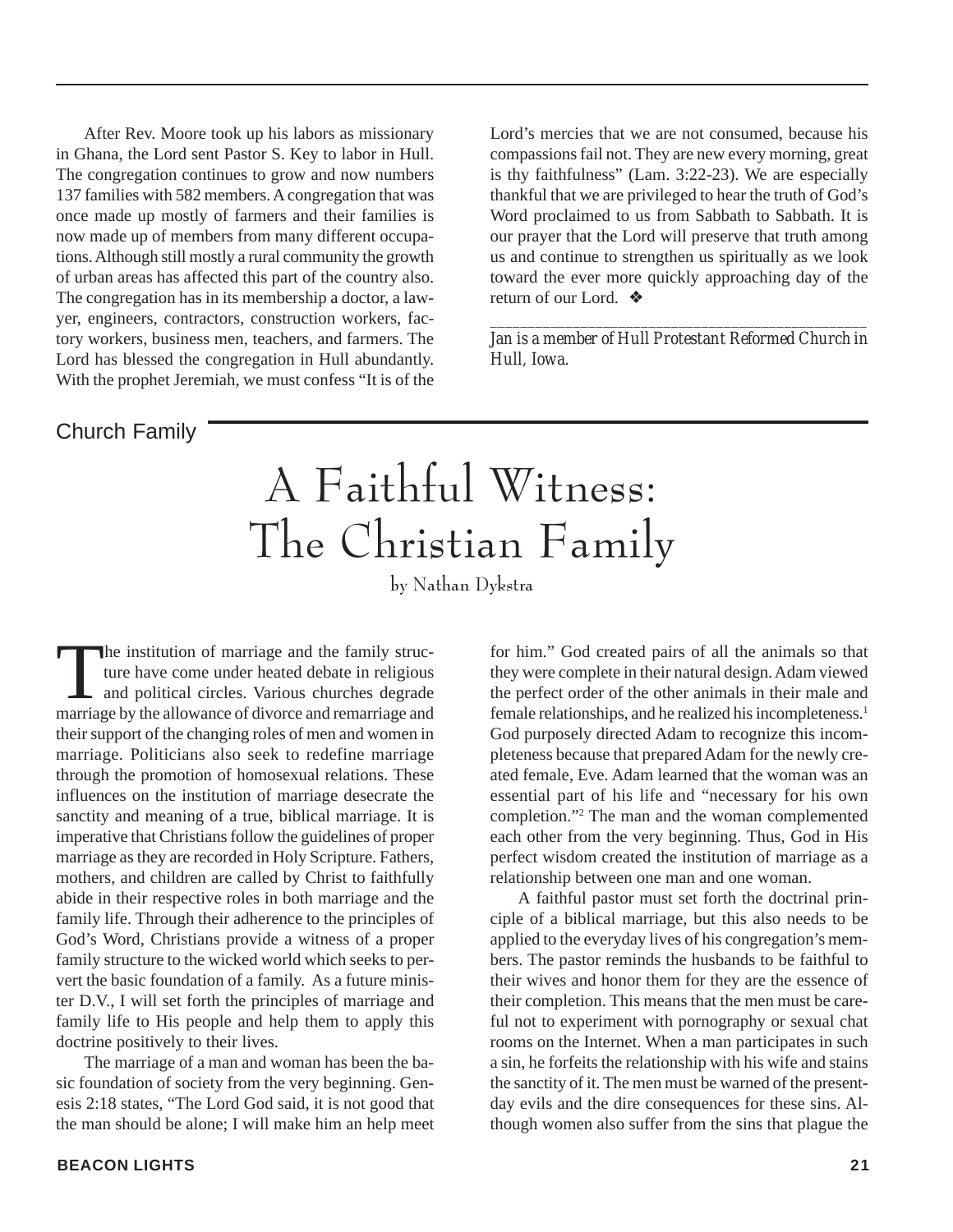After Rev. Moore took up his labors as missionary in Ghana, the Lord sent Pastor S. Key to labor in Hull. The congregation continues to grow and now numbers 137 families with 582 members. A congregation that was once made up mostly of farmers and their families is now made up of members from many different occupations. Although still mostly a rural community the growth of urban areas has affected this part of the country also. The congregation has in its membership a doctor, a lawyer, engineers, contractors, construction workers, factory workers, business men, teachers, and farmers. The Lord has blessed the congregation in Hull abundantly. With the prophet Jeremiah, we must confess "It is of the Lord's mercies that we are not consumed, because his compassions fail not. They are new every morning, great is thy faithfulness" (Lam. 3:22-23). We are especially thankful that we are privileged to hear the truth of God's Word proclaimed to us from Sabbath to Sabbath. It is our prayer that the Lord will preserve that truth among us and continue to strengthen us spiritually as we look toward the ever more quickly approaching day of the return of our Lord. ❖

*\_\_\_\_\_\_\_\_\_\_\_\_\_\_\_\_\_\_\_\_\_\_\_\_\_\_\_\_\_\_\_\_\_\_\_\_\_\_\_\_\_\_\_\_\_\_\_\_\_\_ Jan is a member of Hull Protestant Reformed Church in Hull, Iowa.*

#### Church Family

A Faithful Witness: The Christian Family

by Nathan Dykstra

The institution of marriage and the family structure have come under heated debate in religious<br>and political circles. Various churches degrade<br>marriage by the allowance of divorce and remarriage and ture have come under heated debate in religious and political circles. Various churches degrade marriage by the allowance of divorce and remarriage and their support of the changing roles of men and women in marriage. Politicians also seek to redefine marriage through the promotion of homosexual relations. These influences on the institution of marriage desecrate the sanctity and meaning of a true, biblical marriage. It is imperative that Christians follow the guidelines of proper marriage as they are recorded in Holy Scripture. Fathers, mothers, and children are called by Christ to faithfully abide in their respective roles in both marriage and the family life. Through their adherence to the principles of God's Word, Christians provide a witness of a proper family structure to the wicked world which seeks to pervert the basic foundation of a family. As a future minister D.V., I will set forth the principles of marriage and family life to His people and help them to apply this doctrine positively to their lives.

The marriage of a man and woman has been the basic foundation of society from the very beginning. Genesis 2:18 states, "The Lord God said, it is not good that the man should be alone; I will make him an help meet for him." God created pairs of all the animals so that they were complete in their natural design. Adam viewed the perfect order of the other animals in their male and female relationships, and he realized his incompleteness.1 God purposely directed Adam to recognize this incompleteness because that prepared Adam for the newly created female, Eve. Adam learned that the woman was an essential part of his life and "necessary for his own completion."2 The man and the woman complemented each other from the very beginning. Thus, God in His perfect wisdom created the institution of marriage as a relationship between one man and one woman.

A faithful pastor must set forth the doctrinal principle of a biblical marriage, but this also needs to be applied to the everyday lives of his congregation's members. The pastor reminds the husbands to be faithful to their wives and honor them for they are the essence of their completion. This means that the men must be careful not to experiment with pornography or sexual chat rooms on the Internet. When a man participates in such a sin, he forfeits the relationship with his wife and stains the sanctity of it. The men must be warned of the presentday evils and the dire consequences for these sins. Although women also suffer from the sins that plague the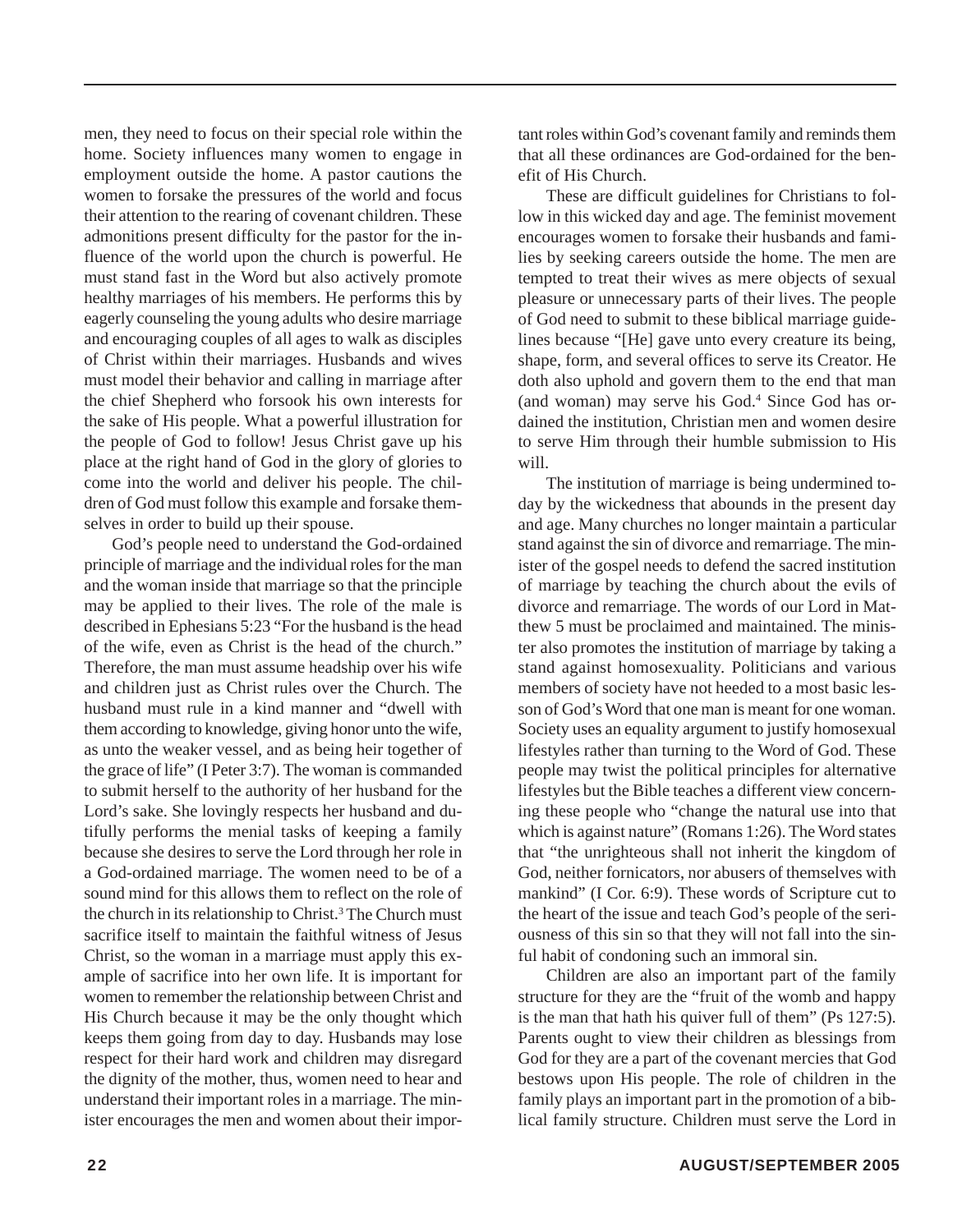men, they need to focus on their special role within the home. Society influences many women to engage in employment outside the home. A pastor cautions the women to forsake the pressures of the world and focus their attention to the rearing of covenant children. These admonitions present difficulty for the pastor for the influence of the world upon the church is powerful. He must stand fast in the Word but also actively promote healthy marriages of his members. He performs this by eagerly counseling the young adults who desire marriage and encouraging couples of all ages to walk as disciples of Christ within their marriages. Husbands and wives must model their behavior and calling in marriage after the chief Shepherd who forsook his own interests for the sake of His people. What a powerful illustration for the people of God to follow! Jesus Christ gave up his place at the right hand of God in the glory of glories to come into the world and deliver his people. The children of God must follow this example and forsake themselves in order to build up their spouse.

God's people need to understand the God-ordained principle of marriage and the individual roles for the man and the woman inside that marriage so that the principle may be applied to their lives. The role of the male is described in Ephesians 5:23 "For the husband is the head of the wife, even as Christ is the head of the church." Therefore, the man must assume headship over his wife and children just as Christ rules over the Church. The husband must rule in a kind manner and "dwell with them according to knowledge, giving honor unto the wife, as unto the weaker vessel, and as being heir together of the grace of life" (I Peter 3:7). The woman is commanded to submit herself to the authority of her husband for the Lord's sake. She lovingly respects her husband and dutifully performs the menial tasks of keeping a family because she desires to serve the Lord through her role in a God-ordained marriage. The women need to be of a sound mind for this allows them to reflect on the role of the church in its relationship to Christ.<sup>3</sup> The Church must sacrifice itself to maintain the faithful witness of Jesus Christ, so the woman in a marriage must apply this example of sacrifice into her own life. It is important for women to remember the relationship between Christ and His Church because it may be the only thought which keeps them going from day to day. Husbands may lose respect for their hard work and children may disregard the dignity of the mother, thus, women need to hear and understand their important roles in a marriage. The minister encourages the men and women about their important roles within God's covenant family and reminds them that all these ordinances are God-ordained for the benefit of His Church.

These are difficult guidelines for Christians to follow in this wicked day and age. The feminist movement encourages women to forsake their husbands and families by seeking careers outside the home. The men are tempted to treat their wives as mere objects of sexual pleasure or unnecessary parts of their lives. The people of God need to submit to these biblical marriage guidelines because "[He] gave unto every creature its being, shape, form, and several offices to serve its Creator. He doth also uphold and govern them to the end that man (and woman) may serve his God.<sup>4</sup> Since God has ordained the institution, Christian men and women desire to serve Him through their humble submission to His will.

The institution of marriage is being undermined today by the wickedness that abounds in the present day and age. Many churches no longer maintain a particular stand against the sin of divorce and remarriage. The minister of the gospel needs to defend the sacred institution of marriage by teaching the church about the evils of divorce and remarriage. The words of our Lord in Matthew 5 must be proclaimed and maintained. The minister also promotes the institution of marriage by taking a stand against homosexuality. Politicians and various members of society have not heeded to a most basic lesson of God's Word that one man is meant for one woman. Society uses an equality argument to justify homosexual lifestyles rather than turning to the Word of God. These people may twist the political principles for alternative lifestyles but the Bible teaches a different view concerning these people who "change the natural use into that which is against nature" (Romans 1:26). The Word states that "the unrighteous shall not inherit the kingdom of God, neither fornicators, nor abusers of themselves with mankind" (I Cor. 6:9). These words of Scripture cut to the heart of the issue and teach God's people of the seriousness of this sin so that they will not fall into the sinful habit of condoning such an immoral sin.

Children are also an important part of the family structure for they are the "fruit of the womb and happy is the man that hath his quiver full of them" (Ps 127:5). Parents ought to view their children as blessings from God for they are a part of the covenant mercies that God bestows upon His people. The role of children in the family plays an important part in the promotion of a biblical family structure. Children must serve the Lord in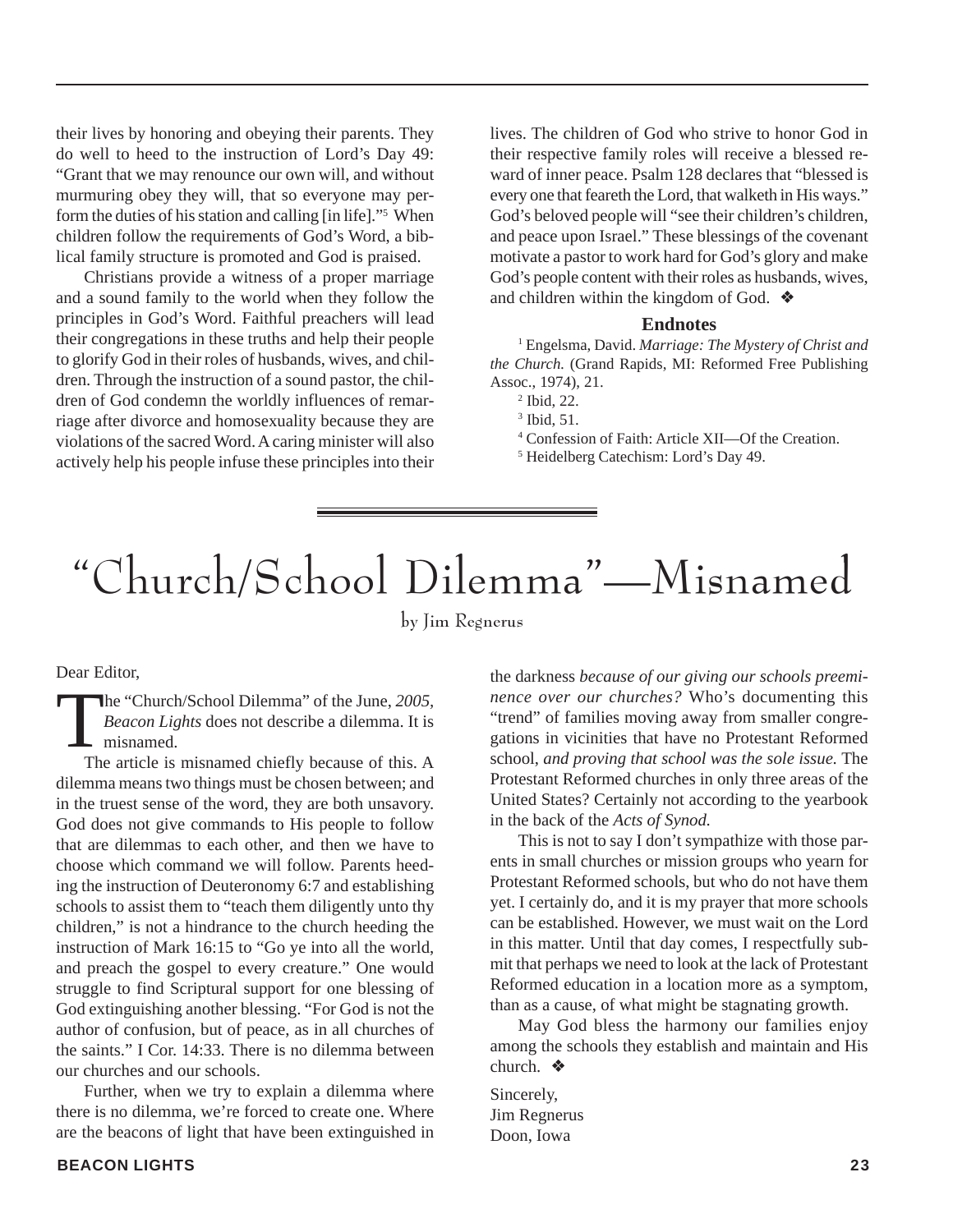their lives by honoring and obeying their parents. They do well to heed to the instruction of Lord's Day 49: "Grant that we may renounce our own will, and without murmuring obey they will, that so everyone may perform the duties of his station and calling [in life]."5 When children follow the requirements of God's Word, a biblical family structure is promoted and God is praised.

Christians provide a witness of a proper marriage and a sound family to the world when they follow the principles in God's Word. Faithful preachers will lead their congregations in these truths and help their people to glorify God in their roles of husbands, wives, and children. Through the instruction of a sound pastor, the children of God condemn the worldly influences of remarriage after divorce and homosexuality because they are violations of the sacred Word. A caring minister will also actively help his people infuse these principles into their

lives. The children of God who strive to honor God in their respective family roles will receive a blessed reward of inner peace. Psalm 128 declares that "blessed is every one that feareth the Lord, that walketh in His ways." God's beloved people will "see their children's children, and peace upon Israel." These blessings of the covenant motivate a pastor to work hard for God's glory and make God's people content with their roles as husbands, wives, and children within the kingdom of God. ❖

#### **Endnotes**

1 Engelsma, David. *Marriage: The Mystery of Christ and the Church.* (Grand Rapids, MI: Reformed Free Publishing Assoc., 1974), 21.

2 Ibid, 22.

- 4 Confession of Faith: Article XII—Of the Creation.
- 5 Heidelberg Catechism: Lord's Day 49.

## "Church/School Dilemma"—Misnamed

by Jim Regnerus

Dear Editor,

The "Church/School Dilemma" of the June, 2005,<br>Beacon Lights does not describe a dilemma. It is<br>misnamed.<br>The article is misnamed chiefly because of this A *Beacon Lights* does not describe a dilemma. It is **L** misnamed.

The article is misnamed chiefly because of this. A dilemma means two things must be chosen between; and in the truest sense of the word, they are both unsavory. God does not give commands to His people to follow that are dilemmas to each other, and then we have to choose which command we will follow. Parents heeding the instruction of Deuteronomy 6:7 and establishing schools to assist them to "teach them diligently unto thy children," is not a hindrance to the church heeding the instruction of Mark 16:15 to "Go ye into all the world, and preach the gospel to every creature." One would struggle to find Scriptural support for one blessing of God extinguishing another blessing. "For God is not the author of confusion, but of peace, as in all churches of the saints." I Cor. 14:33. There is no dilemma between our churches and our schools.

Further, when we try to explain a dilemma where there is no dilemma, we're forced to create one. Where are the beacons of light that have been extinguished in the darkness *because of our giving our schools preeminence over our churches?* Who's documenting this "trend" of families moving away from smaller congregations in vicinities that have no Protestant Reformed school, *and proving that school was the sole issue.* The Protestant Reformed churches in only three areas of the United States? Certainly not according to the yearbook in the back of the *Acts of Synod.*

This is not to say I don't sympathize with those parents in small churches or mission groups who yearn for Protestant Reformed schools, but who do not have them yet. I certainly do, and it is my prayer that more schools can be established. However, we must wait on the Lord in this matter. Until that day comes, I respectfully submit that perhaps we need to look at the lack of Protestant Reformed education in a location more as a symptom, than as a cause, of what might be stagnating growth.

May God bless the harmony our families enjoy among the schools they establish and maintain and His church. ❖

Sincerely, Jim Regnerus Doon, Iowa

<sup>3</sup> Ibid, 51.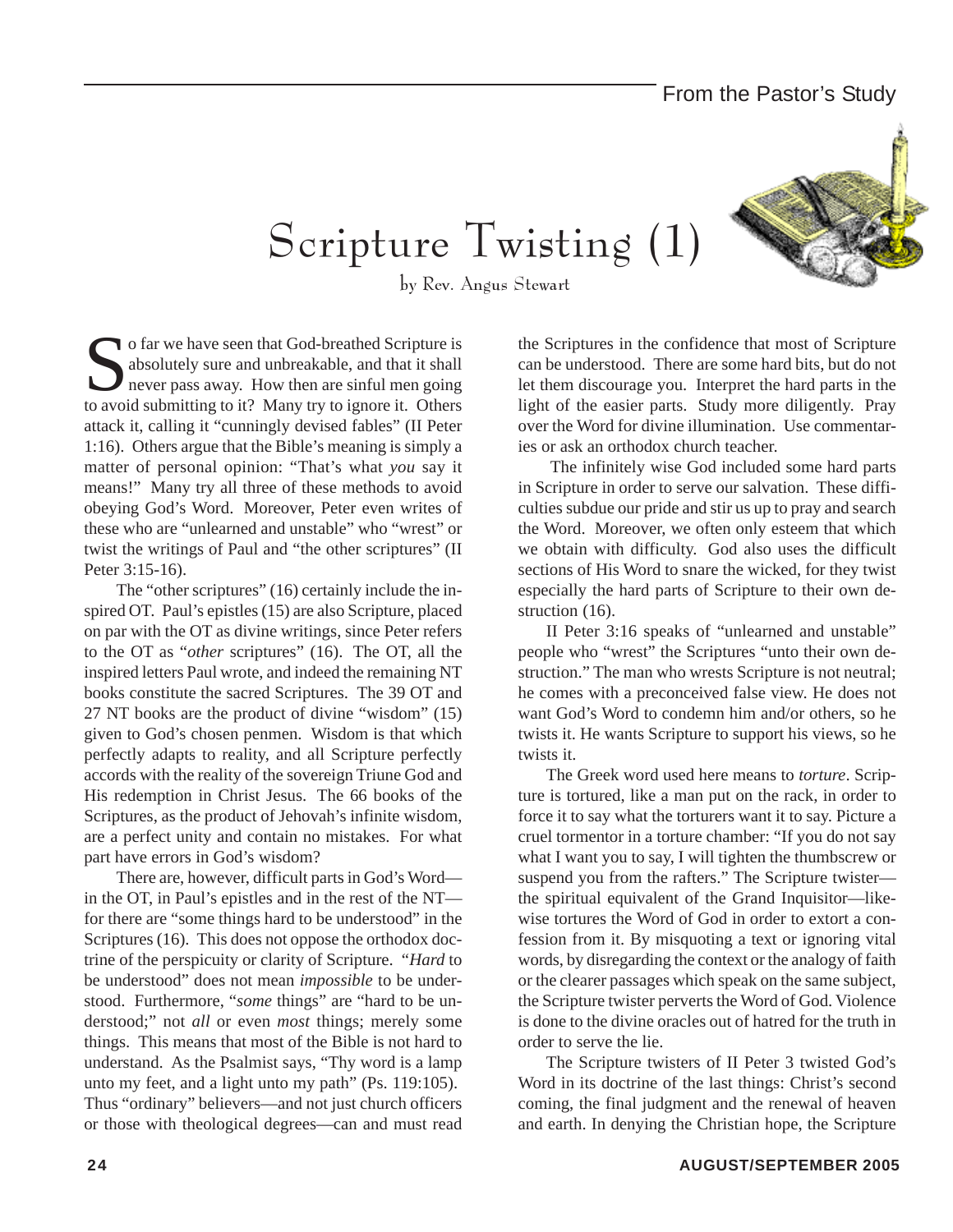# Scripture Twisting (1)

by Rev. Angus Stewart

To far we have seen that God-breathed Scripture is absolutely sure and unbreakable, and that it shall never pass away. How then are sinful men going to avoid submitting to it? Many try to ignore it. Others attack it, calling it "cunningly devised fables" (II Peter 1:16). Others argue that the Bible's meaning is simply a matter of personal opinion: "That's what *you* say it means!" Many try all three of these methods to avoid obeying God's Word. Moreover, Peter even writes of these who are "unlearned and unstable" who "wrest" or twist the writings of Paul and "the other scriptures" (II Peter 3:15-16).

The "other scriptures" (16) certainly include the inspired OT. Paul's epistles (15) are also Scripture, placed on par with the OT as divine writings, since Peter refers to the OT as "*other* scriptures" (16). The OT, all the inspired letters Paul wrote, and indeed the remaining NT books constitute the sacred Scriptures. The 39 OT and 27 NT books are the product of divine "wisdom" (15) given to God's chosen penmen. Wisdom is that which perfectly adapts to reality, and all Scripture perfectly accords with the reality of the sovereign Triune God and His redemption in Christ Jesus. The 66 books of the Scriptures, as the product of Jehovah's infinite wisdom, are a perfect unity and contain no mistakes. For what part have errors in God's wisdom?

 There are, however, difficult parts in God's Word in the OT, in Paul's epistles and in the rest of the NT for there are "some things hard to be understood" in the Scriptures (16). This does not oppose the orthodox doctrine of the perspicuity or clarity of Scripture. "*Hard* to be understood" does not mean *impossible* to be understood. Furthermore, "*some* things" are "hard to be understood;" not *all* or even *most* things; merely some things. This means that most of the Bible is not hard to understand. As the Psalmist says, "Thy word is a lamp unto my feet, and a light unto my path" (Ps. 119:105). Thus "ordinary" believers—and not just church officers or those with theological degrees—can and must read

the Scriptures in the confidence that most of Scripture can be understood. There are some hard bits, but do not let them discourage you. Interpret the hard parts in the light of the easier parts. Study more diligently. Pray over the Word for divine illumination. Use commentaries or ask an orthodox church teacher.

 The infinitely wise God included some hard parts in Scripture in order to serve our salvation. These difficulties subdue our pride and stir us up to pray and search the Word. Moreover, we often only esteem that which we obtain with difficulty. God also uses the difficult sections of His Word to snare the wicked, for they twist especially the hard parts of Scripture to their own destruction  $(16)$ .

II Peter 3:16 speaks of "unlearned and unstable" people who "wrest" the Scriptures "unto their own destruction." The man who wrests Scripture is not neutral; he comes with a preconceived false view. He does not want God's Word to condemn him and/or others, so he twists it. He wants Scripture to support his views, so he twists it.

The Greek word used here means to *torture*. Scripture is tortured, like a man put on the rack, in order to force it to say what the torturers want it to say. Picture a cruel tormentor in a torture chamber: "If you do not say what I want you to say, I will tighten the thumbscrew or suspend you from the rafters." The Scripture twister the spiritual equivalent of the Grand Inquisitor—likewise tortures the Word of God in order to extort a confession from it. By misquoting a text or ignoring vital words, by disregarding the context or the analogy of faith or the clearer passages which speak on the same subject, the Scripture twister perverts the Word of God. Violence is done to the divine oracles out of hatred for the truth in order to serve the lie.

The Scripture twisters of II Peter 3 twisted God's Word in its doctrine of the last things: Christ's second coming, the final judgment and the renewal of heaven and earth. In denying the Christian hope, the Scripture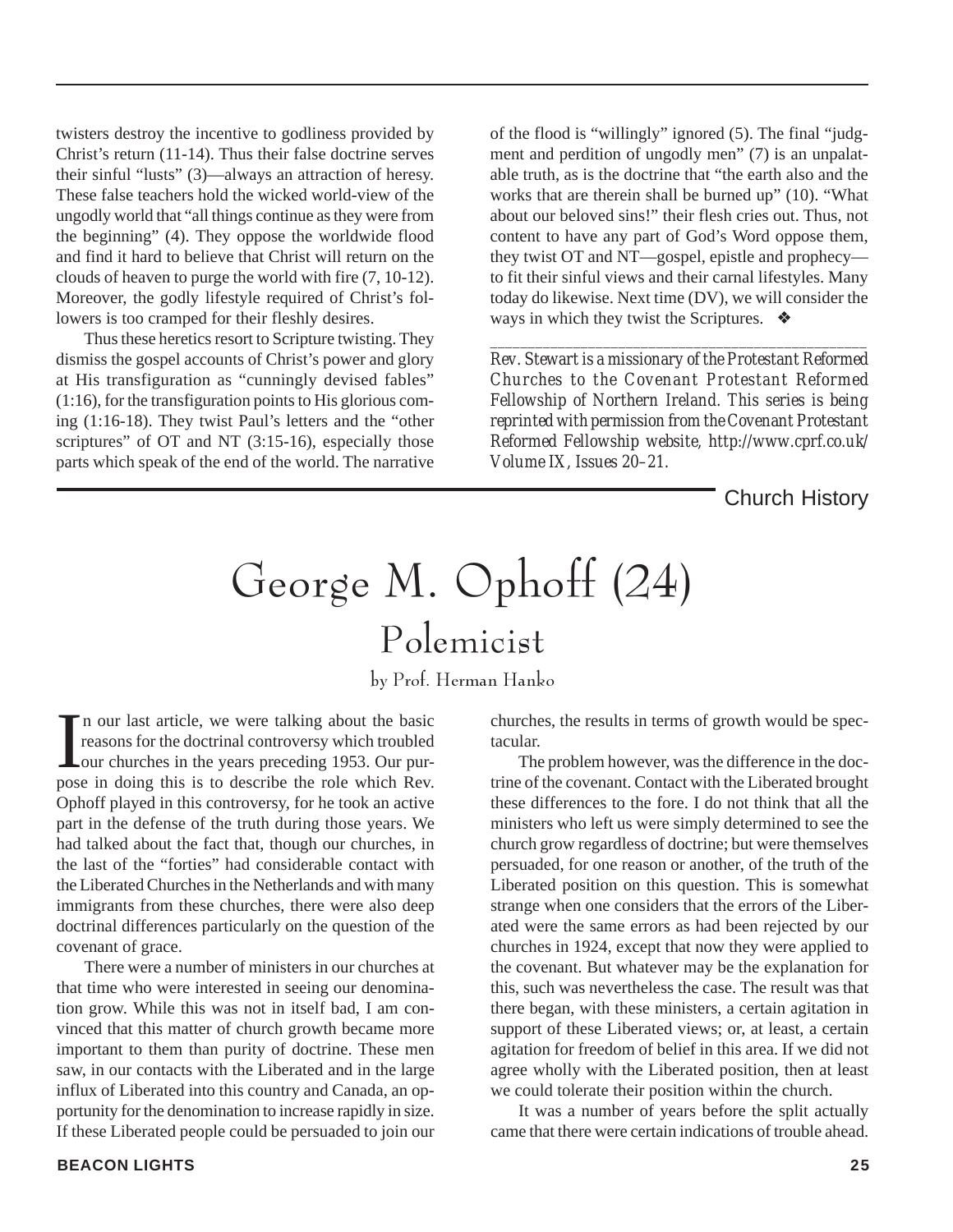twisters destroy the incentive to godliness provided by Christ's return (11-14). Thus their false doctrine serves their sinful "lusts" (3)—always an attraction of heresy. These false teachers hold the wicked world-view of the ungodly world that "all things continue as they were from the beginning" (4). They oppose the worldwide flood and find it hard to believe that Christ will return on the clouds of heaven to purge the world with fire (7, 10-12). Moreover, the godly lifestyle required of Christ's followers is too cramped for their fleshly desires.

Thus these heretics resort to Scripture twisting. They dismiss the gospel accounts of Christ's power and glory at His transfiguration as "cunningly devised fables" (1:16), for the transfiguration points to His glorious coming (1:16-18). They twist Paul's letters and the "other scriptures" of OT and NT (3:15-16), especially those parts which speak of the end of the world. The narrative

of the flood is "willingly" ignored (5). The final "judgment and perdition of ungodly men" (7) is an unpalatable truth, as is the doctrine that "the earth also and the works that are therein shall be burned up" (10). "What about our beloved sins!" their flesh cries out. Thus, not content to have any part of God's Word oppose them, they twist OT and NT—gospel, epistle and prophecy to fit their sinful views and their carnal lifestyles. Many today do likewise. Next time (DV), we will consider the ways in which they twist the Scriptures. ❖

*Rev. Stewart is a missionary of the Protestant Reformed Churches to the Covenant Protestant Reformed Fellowship of Northern Ireland. This series is being reprinted with permission from the Covenant Protestant Reformed Fellowship website, http://www.cprf.co.uk/ Volume IX, Issues 20–21.*

*\_\_\_\_\_\_\_\_\_\_\_\_\_\_\_\_\_\_\_\_\_\_\_\_\_\_\_\_\_\_\_\_\_\_\_\_\_\_\_\_\_\_\_\_\_\_\_\_\_\_*

Church History

## George M. Ophoff (24)

Polemicist

by Prof. Herman Hanko

In our last article, we were talking about the basic<br>reasons for the doctrinal controversy which troubled<br>our churches in the years preceding 1953. Our pur-<br>pose in doing this is to describe the role which Rev. n our last article, we were talking about the basic reasons for the doctrinal controversy which troubled Lour churches in the years preceding 1953. Our pur-Ophoff played in this controversy, for he took an active part in the defense of the truth during those years. We had talked about the fact that, though our churches, in the last of the "forties" had considerable contact with the Liberated Churches in the Netherlands and with many immigrants from these churches, there were also deep doctrinal differences particularly on the question of the covenant of grace.

There were a number of ministers in our churches at that time who were interested in seeing our denomination grow. While this was not in itself bad, I am convinced that this matter of church growth became more important to them than purity of doctrine. These men saw, in our contacts with the Liberated and in the large influx of Liberated into this country and Canada, an opportunity for the denomination to increase rapidly in size. If these Liberated people could be persuaded to join our

**BEACON LIGHTS 25**

churches, the results in terms of growth would be spectacular.

The problem however, was the difference in the doctrine of the covenant. Contact with the Liberated brought these differences to the fore. I do not think that all the ministers who left us were simply determined to see the church grow regardless of doctrine; but were themselves persuaded, for one reason or another, of the truth of the Liberated position on this question. This is somewhat strange when one considers that the errors of the Liberated were the same errors as had been rejected by our churches in 1924, except that now they were applied to the covenant. But whatever may be the explanation for this, such was nevertheless the case. The result was that there began, with these ministers, a certain agitation in support of these Liberated views; or, at least, a certain agitation for freedom of belief in this area. If we did not agree wholly with the Liberated position, then at least we could tolerate their position within the church.

It was a number of years before the split actually came that there were certain indications of trouble ahead.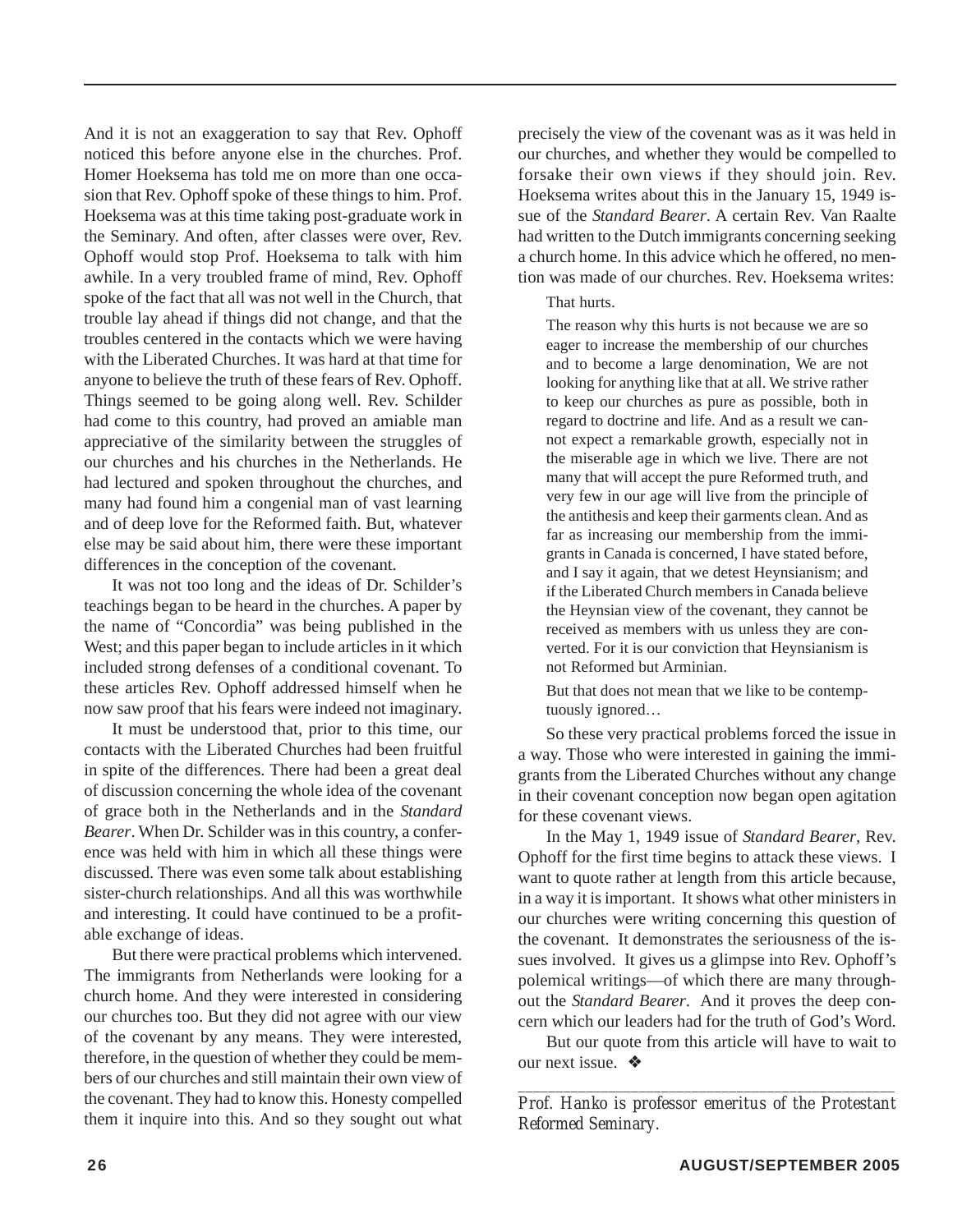And it is not an exaggeration to say that Rev. Ophoff noticed this before anyone else in the churches. Prof. Homer Hoeksema has told me on more than one occasion that Rev. Ophoff spoke of these things to him. Prof. Hoeksema was at this time taking post-graduate work in the Seminary. And often, after classes were over, Rev. Ophoff would stop Prof. Hoeksema to talk with him awhile. In a very troubled frame of mind, Rev. Ophoff spoke of the fact that all was not well in the Church, that trouble lay ahead if things did not change, and that the troubles centered in the contacts which we were having with the Liberated Churches. It was hard at that time for anyone to believe the truth of these fears of Rev. Ophoff. Things seemed to be going along well. Rev. Schilder had come to this country, had proved an amiable man appreciative of the similarity between the struggles of our churches and his churches in the Netherlands. He had lectured and spoken throughout the churches, and many had found him a congenial man of vast learning and of deep love for the Reformed faith. But, whatever else may be said about him, there were these important differences in the conception of the covenant.

It was not too long and the ideas of Dr. Schilder's teachings began to be heard in the churches. A paper by the name of "Concordia" was being published in the West; and this paper began to include articles in it which included strong defenses of a conditional covenant. To these articles Rev. Ophoff addressed himself when he now saw proof that his fears were indeed not imaginary.

It must be understood that, prior to this time, our contacts with the Liberated Churches had been fruitful in spite of the differences. There had been a great deal of discussion concerning the whole idea of the covenant of grace both in the Netherlands and in the *Standard Bearer*. When Dr. Schilder was in this country, a conference was held with him in which all these things were discussed. There was even some talk about establishing sister-church relationships. And all this was worthwhile and interesting. It could have continued to be a profitable exchange of ideas.

But there were practical problems which intervened. The immigrants from Netherlands were looking for a church home. And they were interested in considering our churches too. But they did not agree with our view of the covenant by any means. They were interested, therefore, in the question of whether they could be members of our churches and still maintain their own view of the covenant. They had to know this. Honesty compelled them it inquire into this. And so they sought out what

precisely the view of the covenant was as it was held in our churches, and whether they would be compelled to forsake their own views if they should join. Rev. Hoeksema writes about this in the January 15, 1949 issue of the *Standard Bearer*. A certain Rev. Van Raalte had written to the Dutch immigrants concerning seeking a church home. In this advice which he offered, no mention was made of our churches. Rev. Hoeksema writes:

#### That hurts.

The reason why this hurts is not because we are so eager to increase the membership of our churches and to become a large denomination, We are not looking for anything like that at all. We strive rather to keep our churches as pure as possible, both in regard to doctrine and life. And as a result we cannot expect a remarkable growth, especially not in the miserable age in which we live. There are not many that will accept the pure Reformed truth, and very few in our age will live from the principle of the antithesis and keep their garments clean. And as far as increasing our membership from the immigrants in Canada is concerned, I have stated before, and I say it again, that we detest Heynsianism; and if the Liberated Church members in Canada believe the Heynsian view of the covenant, they cannot be received as members with us unless they are converted. For it is our conviction that Heynsianism is not Reformed but Arminian.

But that does not mean that we like to be contemptuously ignored…

So these very practical problems forced the issue in a way. Those who were interested in gaining the immigrants from the Liberated Churches without any change in their covenant conception now began open agitation for these covenant views.

In the May 1, 1949 issue of *Standard Bearer*, Rev. Ophoff for the first time begins to attack these views. I want to quote rather at length from this article because, in a way it is important. It shows what other ministers in our churches were writing concerning this question of the covenant. It demonstrates the seriousness of the issues involved. It gives us a glimpse into Rev. Ophoff's polemical writings—of which there are many throughout the *Standard Bearer*. And it proves the deep concern which our leaders had for the truth of God's Word.

But our quote from this article will have to wait to our next issue. ❖

*\_\_\_\_\_\_\_\_\_\_\_\_\_\_\_\_\_\_\_\_\_\_\_\_\_\_\_\_\_\_\_\_\_\_\_\_\_\_\_\_\_\_\_\_\_\_\_\_\_\_ Prof. Hanko is professor emeritus of the Protestant Reformed Seminary.*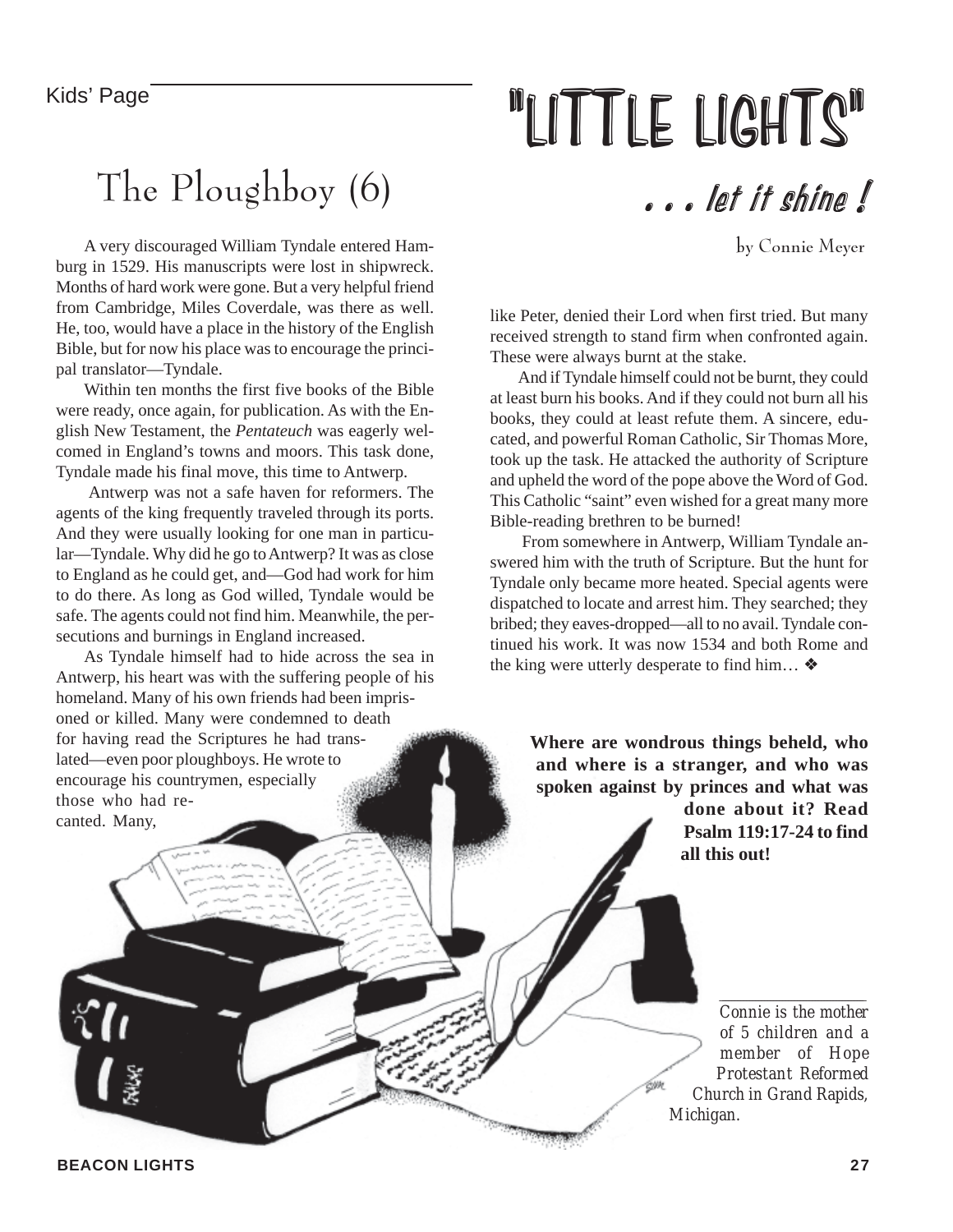#### Kids' Page

## The Ploughboy (6)

A very discouraged William Tyndale entered Hamburg in 1529. His manuscripts were lost in shipwreck. Months of hard work were gone. But a very helpful friend from Cambridge, Miles Coverdale, was there as well. He, too, would have a place in the history of the English Bible, but for now his place was to encourage the principal translator—Tyndale.

Within ten months the first five books of the Bible were ready, once again, for publication. As with the English New Testament, the *Pentateuch* was eagerly welcomed in England's towns and moors. This task done, Tyndale made his final move, this time to Antwerp.

 Antwerp was not a safe haven for reformers. The agents of the king frequently traveled through its ports. And they were usually looking for one man in particular—Tyndale. Why did he go to Antwerp? It was as close to England as he could get, and—God had work for him to do there. As long as God willed, Tyndale would be safe. The agents could not find him. Meanwhile, the persecutions and burnings in England increased.

As Tyndale himself had to hide across the sea in Antwerp, his heart was with the suffering people of his homeland. Many of his own friends had been imprisoned or killed. Many were condemned to death for having read the Scriptures he had translated—even poor ploughboys. He wrote to encourage his countrymen, especially those who had recanted. Many,

## "LITTLE LIGHTS"

. . . let it shine !

by Connie Meyer

like Peter, denied their Lord when first tried. But many received strength to stand firm when confronted again. These were always burnt at the stake.

And if Tyndale himself could not be burnt, they could at least burn his books. And if they could not burn all his books, they could at least refute them. A sincere, educated, and powerful Roman Catholic, Sir Thomas More, took up the task. He attacked the authority of Scripture and upheld the word of the pope above the Word of God. This Catholic "saint" even wished for a great many more Bible-reading brethren to be burned!

 From somewhere in Antwerp, William Tyndale answered him with the truth of Scripture. But the hunt for Tyndale only became more heated. Special agents were dispatched to locate and arrest him. They searched; they bribed; they eaves-dropped—all to no avail. Tyndale continued his work. It was now 1534 and both Rome and the king were utterly desperate to find him… ❖

> **Where are wondrous things beheld, who and where is a stranger, and who was spoken against by princes and what was done about it? Read Psalm 119:17-24 to find all this out!**

> > *Connie is the mother of 5 children and a member of Hope Protestant Reformed Church in Grand Rapids, Michigan.*

*\_\_\_\_\_\_\_\_\_\_\_\_\_\_\_\_\_\_\_\_\_\_\_\_\_\_\_\_\_\_\_\_\_\_\_\_\_\_\_\_\_\_\_\_\_\_\_\_*

**BEACON LIGHTS 27**